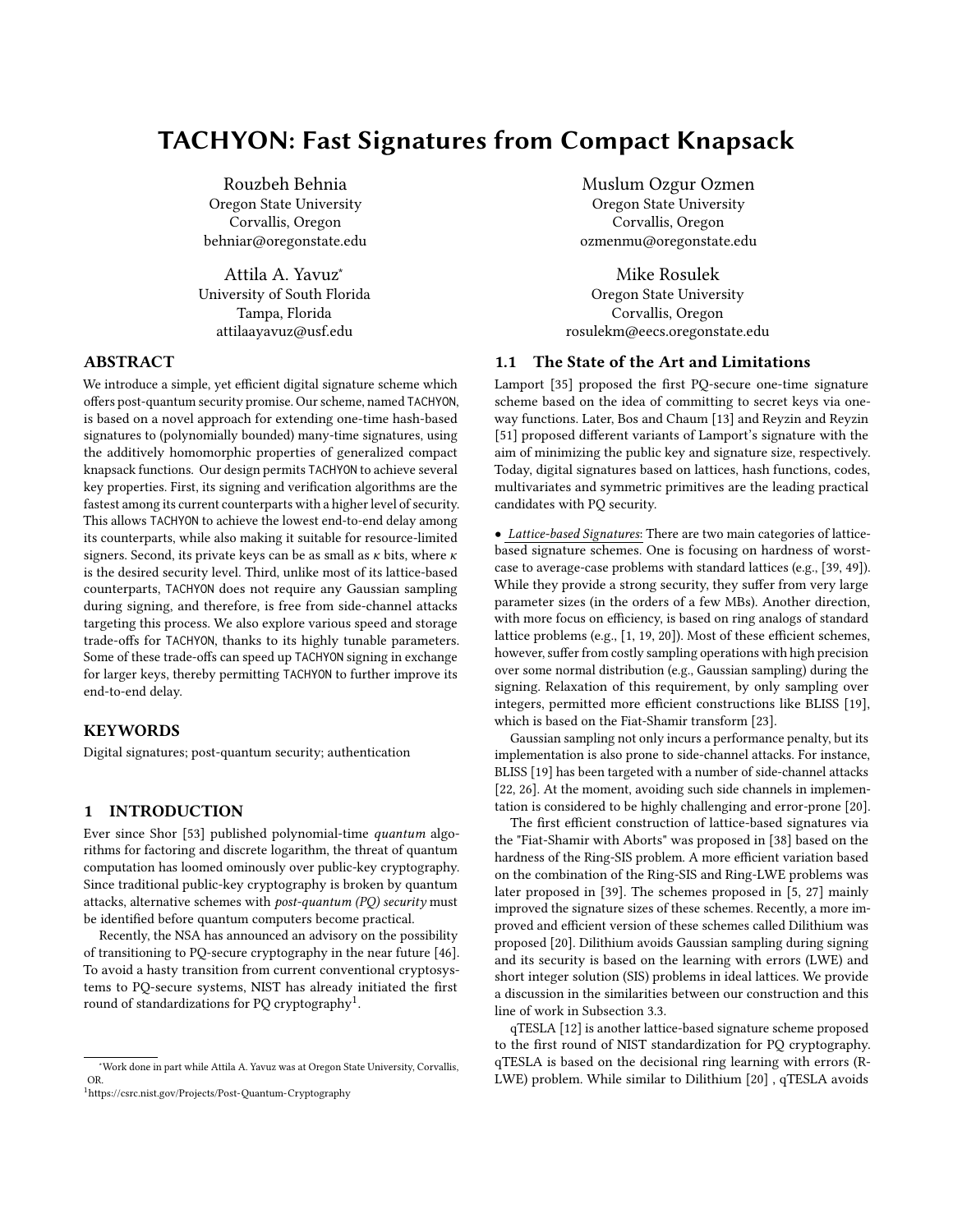# TACHYON: Fast Signatures from Compact Knapsack

Rouzbeh Behnia Oregon State University Corvallis, Oregon behniar@oregonstate.edu

Attila A. Yavuz<sup>∗</sup> University of South Florida Tampa, Florida attilaayavuz@usf.edu

# ABSTRACT

We introduce a simple, yet efficient digital signature scheme which offers post-quantum security promise. Our scheme, named TACHYON, is based on a novel approach for extending one-time hash-based signatures to (polynomially bounded) many-time signatures, using the additively homomorphic properties of generalized compact knapsack functions. Our design permits TACHYON to achieve several key properties. First, its signing and verification algorithms are the fastest among its current counterparts with a higher level of security. This allows TACHYON to achieve the lowest end-to-end delay among its counterparts, while also making it suitable for resource-limited signers. Second, its private keys can be as small as  $\kappa$  bits, where  $\kappa$ is the desired security level. Third, unlike most of its lattice-based counterparts, TACHYON does not require any Gaussian sampling during signing, and therefore, is free from side-channel attacks targeting this process. We also explore various speed and storage trade-offs for TACHYON, thanks to its highly tunable parameters. Some of these trade-offs can speed up TACHYON signing in exchange for larger keys, thereby permitting TACHYON to further improve its end-to-end delay.

## **KEYWORDS**

Digital signatures; post-quantum security; authentication

# 1 INTRODUCTION

Ever since Shor [\[53\]](#page-12-0) published polynomial-time quantum algorithms for factoring and discrete logarithm, the threat of quantum computation has loomed ominously over public-key cryptography. Since traditional public-key cryptography is broken by quantum attacks, alternative schemes with post-quantum (PQ) security must be identified before quantum computers become practical.

Recently, the NSA has announced an advisory on the possibility of transitioning to PQ-secure cryptography in the near future [\[46\]](#page-12-1). To avoid a hasty transition from current conventional cryptosystems to PQ-secure systems, NIST has already initiated the first round of standardizations for PO cryptography<sup>1</sup>.

Muslum Ozgur Ozmen Oregon State University Corvallis, Oregon ozmenmu@oregonstate.edu

Mike Rosulek Oregon State University Corvallis, Oregon rosulekm@eecs.oregonstate.edu

## 1.1 The State of the Art and Limitations

Lamport [\[35\]](#page-11-0) proposed the first PQ-secure one-time signature scheme based on the idea of committing to secret keys via oneway functions. Later, Bos and Chaum [\[13\]](#page-11-1) and Reyzin and Reyzin [\[51\]](#page-12-2) proposed different variants of Lamport's signature with the aim of minimizing the public key and signature size, respectively. Today, digital signatures based on lattices, hash functions, codes, multivariates and symmetric primitives are the leading practical candidates with PQ security.

• Lattice-based Signatures: There are two main categories of latticebased signature schemes. One is focusing on hardness of worstcase to average-case problems with standard lattices (e.g., [\[39,](#page-12-3) [49\]](#page-12-4)). While they provide a strong security, they suffer from very large parameter sizes (in the orders of a few MBs). Another direction, with more focus on efficiency, is based on ring analogs of standard lattice problems (e.g., [\[1,](#page-11-2) [19,](#page-11-3) [20\]](#page-11-4)). Most of these efficient schemes, however, suffer from costly sampling operations with high precision over some normal distribution (e.g., Gaussian sampling) during the signing. Relaxation of this requirement, by only sampling over integers, permitted more efficient constructions like BLISS [\[19\]](#page-11-3), which is based on the Fiat-Shamir transform [\[23\]](#page-11-5).

Gaussian sampling not only incurs a performance penalty, but its implementation is also prone to side-channel attacks. For instance, BLISS [\[19\]](#page-11-3) has been targeted with a number of side-channel attacks [\[22,](#page-11-6) [26\]](#page-11-7). At the moment, avoiding such side channels in implementation is considered to be highly challenging and error-prone [\[20\]](#page-11-4).

The first efficient construction of lattice-based signatures via the "Fiat-Shamir with Aborts" was proposed in [\[38\]](#page-12-5) based on the hardness of the Ring-SIS problem. A more efficient variation based on the combination of the Ring-SIS and Ring-LWE problems was later proposed in [\[39\]](#page-12-3). The schemes proposed in [\[5,](#page-11-8) [27\]](#page-11-9) mainly improved the signature sizes of these schemes. Recently, a more improved and efficient version of these schemes called Dilithium was proposed [\[20\]](#page-11-4). Dilithium avoids Gaussian sampling during signing and its security is based on the learning with errors (LWE) and short integer solution (SIS) problems in ideal lattices. We provide a discussion in the similarities between our construction and this line of work in [Subsection 3.3.](#page-4-0)

qTESLA [\[12\]](#page-11-10) is another lattice-based signature scheme proposed to the first round of NIST standardization for PQ cryptography. qTESLA is based on the decisional ring learning with errors (R-LWE) problem. While similar to Dilithium [\[20\]](#page-11-4) , qTESLA avoids

<sup>∗</sup>Work done in part while Attila A. Yavuz was at Oregon State University, Corvallis, OR.

<sup>&</sup>lt;sup>1</sup><https://csrc.nist.gov/Projects/Post-Quantum-Cryptography>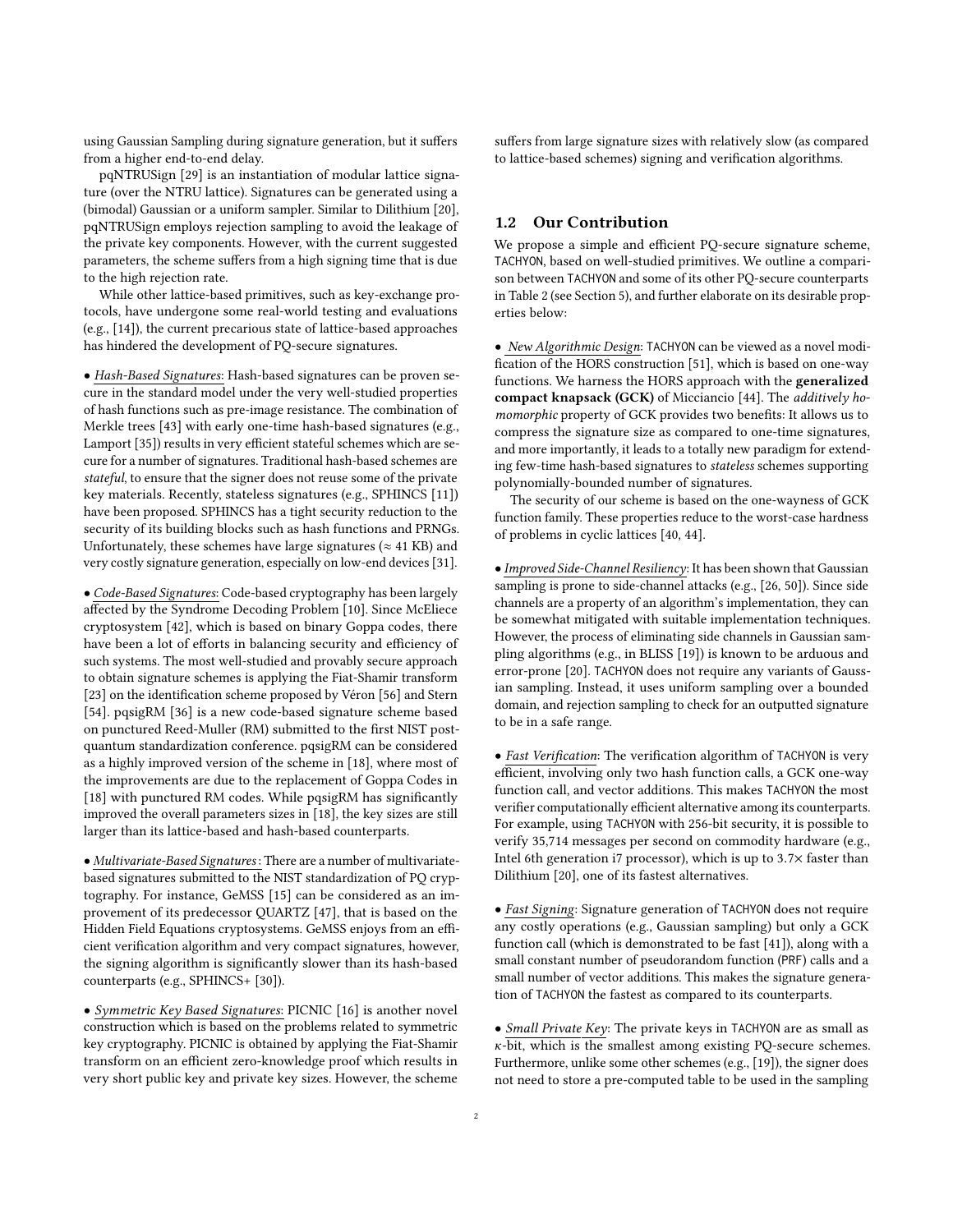using Gaussian Sampling during signature generation, but it suffers from a higher end-to-end delay.

pqNTRUSign [\[29\]](#page-11-11) is an instantiation of modular lattice signature (over the NTRU lattice). Signatures can be generated using a (bimodal) Gaussian or a uniform sampler. Similar to Dilithium [\[20\]](#page-11-4), pqNTRUSign employs rejection sampling to avoid the leakage of the private key components. However, with the current suggested parameters, the scheme suffers from a high signing time that is due to the high rejection rate.

While other lattice-based primitives, such as key-exchange protocols, have undergone some real-world testing and evaluations (e.g., [\[14\]](#page-11-12)), the current precarious state of lattice-based approaches has hindered the development of PQ-secure signatures.

• Hash-Based Signatures: Hash-based signatures can be proven secure in the standard model under the very well-studied properties of hash functions such as pre-image resistance. The combination of Merkle trees [\[43\]](#page-12-6) with early one-time hash-based signatures (e.g., Lamport [\[35\]](#page-11-0)) results in very efficient stateful schemes which are secure for a number of signatures. Traditional hash-based schemes are stateful, to ensure that the signer does not reuse some of the private key materials. Recently, stateless signatures (e.g., SPHINCS [\[11\]](#page-11-13)) have been proposed. SPHINCS has a tight security reduction to the security of its building blocks such as hash functions and PRNGs. Unfortunately, these schemes have large signatures ( $\approx$  41 KB) and very costly signature generation, especially on low-end devices [\[31\]](#page-11-14).

• Code-Based Signatures: Code-based cryptography has been largely affected by the Syndrome Decoding Problem [\[10\]](#page-11-15). Since McEliece cryptosystem [\[42\]](#page-12-7), which is based on binary Goppa codes, there have been a lot of efforts in balancing security and efficiency of such systems. The most well-studied and provably secure approach to obtain signature schemes is applying the Fiat-Shamir transform [\[23\]](#page-11-5) on the identification scheme proposed by Véron [\[56\]](#page-12-8) and Stern [\[54\]](#page-12-9). pqsigRM [\[36\]](#page-11-16) is a new code-based signature scheme based on punctured Reed-Muller (RM) submitted to the first NIST postquantum standardization conference. pqsigRM can be considered as a highly improved version of the scheme in [\[18\]](#page-11-17), where most of the improvements are due to the replacement of Goppa Codes in [\[18\]](#page-11-17) with punctured RM codes. While pqsigRM has significantly improved the overall parameters sizes in [\[18\]](#page-11-17), the key sizes are still larger than its lattice-based and hash-based counterparts.

• Multivariate-Based Signatures : There are a number of multivariatebased signatures submitted to the NIST standardization of PQ cryptography. For instance, GeMSS [\[15\]](#page-11-18) can be considered as an improvement of its predecessor QUARTZ [\[47\]](#page-12-10), that is based on the Hidden Field Equations cryptosystems. GeMSS enjoys from an efficient verification algorithm and very compact signatures, however, the signing algorithm is significantly slower than its hash-based counterparts (e.g., SPHINCS+ [\[30\]](#page-11-19)).

• Symmetric Key Based Signatures: PICNIC [\[16\]](#page-11-20) is another novel construction which is based on the problems related to symmetric key cryptography. PICNIC is obtained by applying the Fiat-Shamir transform on an efficient zero-knowledge proof which results in very short public key and private key sizes. However, the scheme suffers from large signature sizes with relatively slow (as compared to lattice-based schemes) signing and verification algorithms.

# 1.2 Our Contribution

We propose a simple and efficient PQ-secure signature scheme, TACHYON, based on well-studied primitives. We outline a comparison between TACHYON and some of its other PQ-secure counterparts in [Table 2](#page-10-0) (see [Section 5\)](#page-8-0), and further elaborate on its desirable properties below:

• New Algorithmic Design: TACHYON can be viewed as a novel modification of the HORS construction [\[51\]](#page-12-2), which is based on one-way functions. We harness the HORS approach with the generalized compact knapsack (GCK) of Micciancio [\[44\]](#page-12-11). The additively homomorphic property of GCK provides two benefits: It allows us to compress the signature size as compared to one-time signatures, and more importantly, it leads to a totally new paradigm for extending few-time hash-based signatures to stateless schemes supporting polynomially-bounded number of signatures.

The security of our scheme is based on the one-wayness of GCK function family. These properties reduce to the worst-case hardness of problems in cyclic lattices [\[40,](#page-12-12) [44\]](#page-12-11).

• Improved Side-Channel Resiliency: It has been shown that Gaussian sampling is prone to side-channel attacks (e.g., [\[26,](#page-11-7) [50\]](#page-12-13)). Since side channels are a property of an algorithm's implementation, they can be somewhat mitigated with suitable implementation techniques. However, the process of eliminating side channels in Gaussian sampling algorithms (e.g., in BLISS [\[19\]](#page-11-3)) is known to be arduous and error-prone [\[20\]](#page-11-4). TACHYON does not require any variants of Gaussian sampling. Instead, it uses uniform sampling over a bounded domain, and rejection sampling to check for an outputted signature to be in a safe range.

• Fast Verification: The verification algorithm of TACHYON is very efficient, involving only two hash function calls, a GCK one-way function call, and vector additions. This makes TACHYON the most verifier computationally efficient alternative among its counterparts. For example, using TACHYON with 256-bit security, it is possible to verify 35,714 messages per second on commodity hardware (e.g., Intel 6th generation i7 processor), which is up to <sup>3</sup>.7<sup>×</sup> faster than Dilithium [\[20\]](#page-11-4), one of its fastest alternatives.

• Fast Signing: Signature generation of TACHYON does not require any costly operations (e.g., Gaussian sampling) but only a GCK function call (which is demonstrated to be fast [\[41\]](#page-12-14)), along with a small constant number of pseudorandom function (PRF) calls and a small number of vector additions. This makes the signature generation of TACHYON the fastest as compared to its counterparts.

• Small Private Key: The private keys in TACHYON are as small as κ-bit, which is the smallest among existing PQ-secure schemes. Furthermore, unlike some other schemes (e.g., [\[19\]](#page-11-3)), the signer does not need to store a pre-computed table to be used in the sampling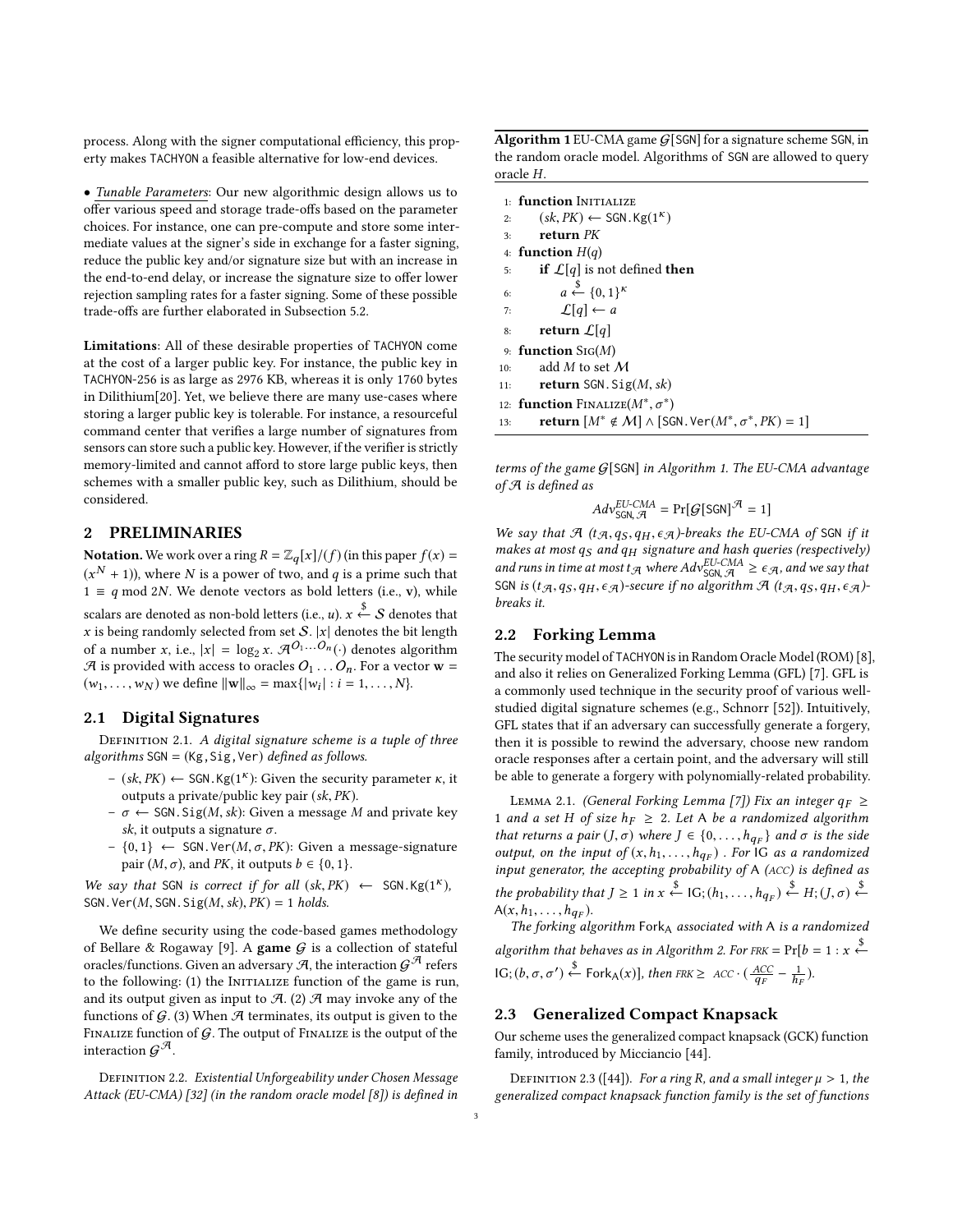process. Along with the signer computational efficiency, this property makes TACHYON a feasible alternative for low-end devices.

• Tunable Parameters: Our new algorithmic design allows us to offer various speed and storage trade-offs based on the parameter choices. For instance, one can pre-compute and store some intermediate values at the signer's side in exchange for a faster signing, reduce the public key and/or signature size but with an increase in the end-to-end delay, or increase the signature size to offer lower rejection sampling rates for a faster signing. Some of these possible trade-offs are further elaborated in [Subsection 5.2.](#page-8-1)

Limitations: All of these desirable properties of TACHYON come at the cost of a larger public key. For instance, the public key in TACHYON-256 is as large as 2976 KB, whereas it is only 1760 bytes in Dilithium[\[20\]](#page-11-4). Yet, we believe there are many use-cases where storing a larger public key is tolerable. For instance, a resourceful command center that verifies a large number of signatures from sensors can store such a public key. However, if the verifier is strictly memory-limited and cannot afford to store large public keys, then schemes with a smaller public key, such as Dilithium, should be considered.

## 2 PRELIMINARIES

**Notation.** We work over a ring  $R = \mathbb{Z}_q[x]/(f)$  (in this paper  $f(x) =$  $(x^N + 1)$ ), where N is a power of two, and  $q$  is a prime such that  $1 \equiv q \mod 2N$ . We denote vectors as bold letters (i.e., v), while scalars are denoted as non-bold letters (i.e.,  $u$ ).  $x \overset{\$}{\leftarrow} \mathcal{S}$  denotes that x is being randomly selected from set  $S$ . |x| denotes the bit length of a number x, i.e.,  $|x| = \log_2 x$ .  $\mathcal{A}^{O_1...O_n}(\cdot)$  denotes algorithm  $\mathcal A$  is provided with access to oracles  $O_1 \dots O_n$ . For a vector  $\mathbf w =$  $(w_1, \ldots, w_N)$  we define  $||\mathbf{w}||_{\infty} = \max\{|w_i| : i = 1, \ldots, N\}.$ 

#### 2.1 Digital Signatures

DEFINITION 2.1. A digital signature scheme is a tuple of three algorithms  $SGN = (Kg, Sig, Ver) defined as follows.$ 

- (sk, PK) ← SGN. Kg(1<sup>K</sup>): Given the security parameter κ, it outputs a private/public key pair (sk PK) outputs a private/public key pair (sk, PK).
- $-\sigma \leftarrow$  SGN. Sig(*M*, *sk*): Given a message *M* and private key sk, it outputs a signature  $\sigma$ .
- {0, <sup>1</sup>} ← SGN.Ver(M, <sup>σ</sup>, PK): Given a message-signature pair  $(M, \sigma)$ , and PK, it outputs  $b \in \{0, 1\}$ .

We say that SGN is correct if for all  $(sk, PK$ )  $\leftarrow$  SGN.Kg(1<sup>K</sup>),<br>SGN Nor(M SGN Sig(M sk) PK) – 1 holds SGN. Ver $(M, SGN.Sig(M, sk), PK) = 1$  holds.

We define security using the code-based games methodology of Bellare & Rogaway [\[9\]](#page-11-21). A game  $G$  is a collection of stateful oracles/functions. Given an adversary  $\mathcal{A}$ , the interaction  $\mathcal{G}^{\mathcal{A}}$  refers to the following: (1) the INITIALIZE function of the game is run, and its output given as input to  $A$ . (2)  $A$  may invoke any of the functions of  $G$ . (3) When  $H$  terminates, its output is given to the FINALIZE function of  $G$ . The output of FINALIZE is the output of the interaction  $\mathcal{G}^{\mathcal{A}}.$ 

DEFINITION 2.2. Existential Unforgeability under Chosen Message Attack (EU-CMA) [\[32\]](#page-11-22) (in the random oracle model [\[8\]](#page-11-23)) is defined in

<span id="page-2-0"></span>Algorithm 1 EU-CMA game  $G$ [SGN] for a signature scheme SGN, in the random oracle model. Algorithms of SGN are allowed to query oracle H.

1: function INITIALIZE 2:  $(sk, PK) \leftarrow \text{SGN.Kg}(1^k)$ <br>2. return PK 3: return PK 4: function  $H(q)$ 5: **if**  $\mathcal{L}[q]$  is not defined **then** 6:  $a \stackrel{\$}{\leftarrow} \{0,1\}^k$ 7:  $\mathcal{L}[q] \leftarrow a$ 8: return  $\mathcal{L}[q]$ 9: function Sig(M) 10: add  $M$  to set  $M$ 11: **return** SGN.  $Sig(M, sk)$ 12: **function** FINALIZE( $M^*, \sigma^*$ ) 13: **return**  $[M^* \notin M] \wedge [\text{SGN.Ver}(M^*, \sigma^*, PK) = 1]$ 

terms of the game G[SGN] in [Algorithm 1.](#page-2-0) The EU-CMA advantage of A is defined as

$$
Adv_{SGN, \mathcal{A}}^{EU-CMA} = \Pr[\mathcal{G}[SGN]^{\mathcal{A}} = 1]
$$

We say that  $\mathcal{A}$  (t $\mathcal{A}, q_S, q_H, \epsilon \mathcal{A}$ )-breaks the EU-CMA of SGN if it makes at most  $a_S$  and  $a_M$  signature and hash queries (respectively) makes at most q<sub>S</sub> and q<sub>H</sub> signature and hash queries (respectively)<br>and runs in time at most  $t_A$  where  $Adv_{\text{SGM}}^{\text{EU-CMA}} \ge \epsilon_A$ , and we say that<br>SGN is ( $t_A$ , as, an  $\epsilon_A$ )-secure if no algorithm  $\mathcal{A}$  ( $t_A$ , as, an SGN is  $(t_{\mathcal{A}},q_S, q_H, \epsilon_{\mathcal{A}})$ -secure if no algorithm  $\mathcal{A}$  (t $_{\mathcal{A}},q_S, q_H, \epsilon_{\mathcal{A}})$ breaks it.

## 2.2 Forking Lemma

The security model of TACHYON is in Random Oracle Model (ROM) [\[8\]](#page-11-23), and also it relies on Generalized Forking Lemma (GFL) [\[7\]](#page-11-24). GFL is a commonly used technique in the security proof of various wellstudied digital signature schemes (e.g., Schnorr [\[52\]](#page-12-15)). Intuitively, GFL states that if an adversary can successfully generate a forgery, then it is possible to rewind the adversary, choose new random oracle responses after a certain point, and the adversary will still be able to generate a forgery with polynomially-related probability.

<span id="page-2-1"></span>LEMMA 2.1. (General Forking Lemma [\[7\]](#page-11-24)) Fix an integer  $q_F \ge$ 1 and a set H of size  $h_F \geq 2$ . Let A be a randomized algorithm that returns a pair  $(J, \sigma)$  where  $J \in \{0, \ldots, h_{qF}\}$  and  $\sigma$  is the side<br>output on the input of  $(x, h, \ldots, h)$ . For IC as a randomized output, on the input of  $(x, h_1, \ldots, h_{q_F})$ . For IG as a randomized<br>input generator the accepting probability of A (ACC) is defined as input generator, the accepting probability of A (ACC) is defined as the probability that  $J \geq 1$  in  $x \stackrel{\$}{\leftarrow}$  IG;  $(h_1, \ldots, h_{q_F}) \stackrel{\$}{\leftarrow} H$ ;  $(J, \sigma) \stackrel{\$}{\leftarrow}$  $A(x, h_1, \ldots, h_{q_F}).$ <br>The forking all

The forking algorithm  $Fork_A$  associated with A is a randomized algorithm that behaves as in [Algorithm 2.](#page-3-0) For  $FRK = Pr[b = 1 : x \stackrel{\$}{\leftarrow}$ IG;  $(b, \sigma, \sigma') \xleftarrow{\$}$  Fork<sub>A</sub>(x)], then FRK ≥ ACC ·  $\left(\frac{ACC}{q_F} - \frac{1}{h_H}\right)$  $\frac{1}{h_F}$ ).

## <span id="page-2-2"></span>2.3 Generalized Compact Knapsack

Our scheme uses the generalized compact knapsack (GCK) function family, introduced by Micciancio [\[44\]](#page-12-11).

<span id="page-2-3"></span>DEFINITION 2.3 ([\[44\]](#page-12-11)). For a ring R, and a small integer  $\mu > 1$ , the generalized compact knapsack function family is the set of functions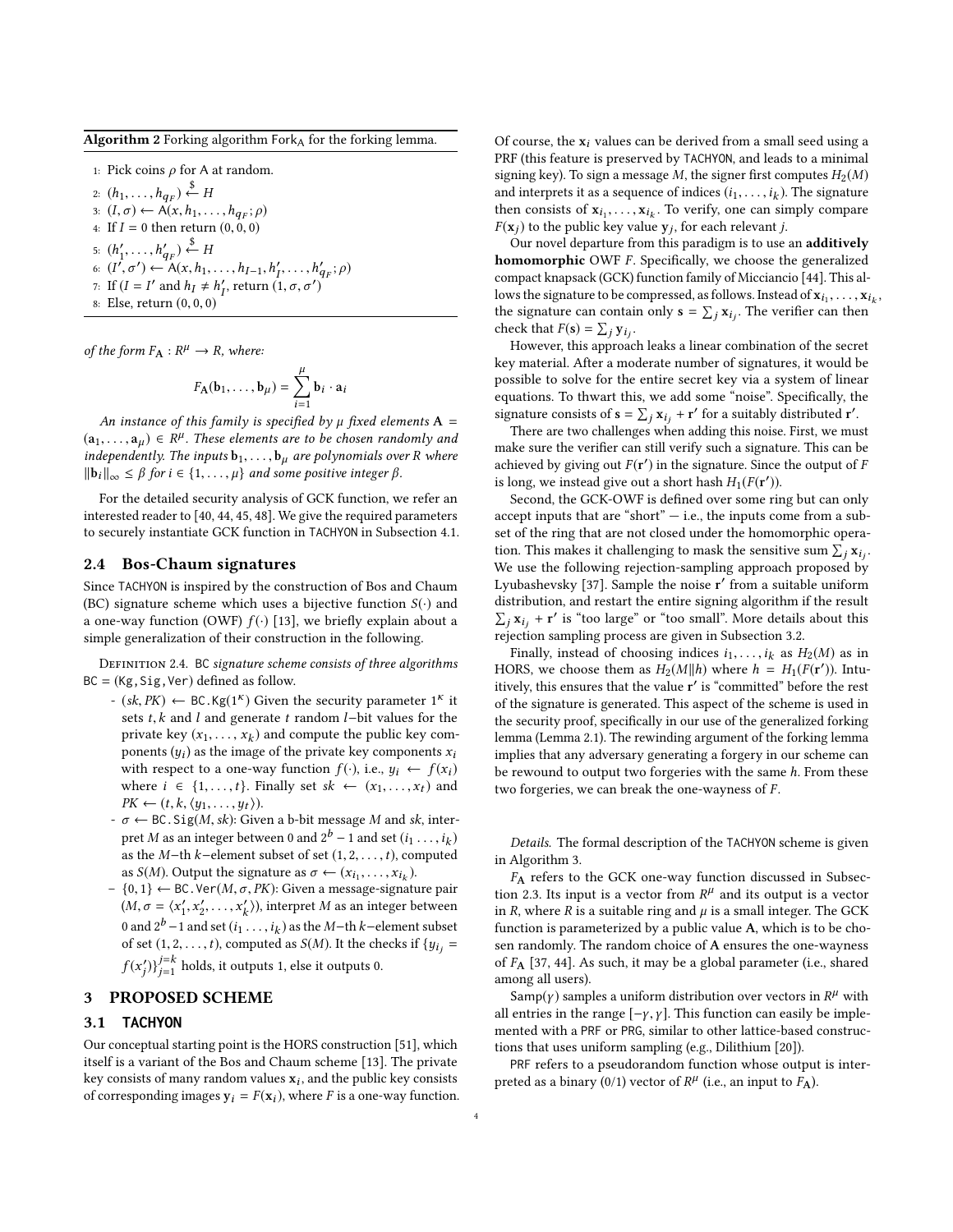<span id="page-3-0"></span>**Algorithm 2** Forking algorithm  $Fork_A$  for the forking lemma.

1: Pick coins  $\rho$  for A at random.

2:  $(h_1, \ldots, h_{q_F}) \stackrel{\$}{\leftarrow} H$ <br>2.  $(I, \tau) \leftarrow A(r, h)$ 3:  $(I, \sigma) \leftarrow \overrightarrow{A}(x, h_1, \ldots, h_{q_F}; \rho)$ <br>4. If  $I = 0$  then return  $(0, 0, 0)$ 4: If  $I = 0$  then return  $(0, 0, 0)$ 5:  $(h'_1, \ldots, h'_{q_F}) \stackrel{\$}{\leftarrow} H$ 6:  $(I', \sigma') \leftarrow A(x, h_1, \ldots, h_{I-1}, h'_I)$ <br>7. If  $(I - I'$  and  $h + h'$  rature  $(I$  $\begin{array}{c} \nI_1, \ldots, h'_q \\
I_1 \sigma \sigma' \n\end{array}$  $q_F^{\prime}$ ;  $\rho$ ) 7: If  $(I = I'$  and  $h_I \neq h_I'$ <br>8. Fise return (0, 0, 0)  $I_I^{\prime}$ , return  $(1, \sigma, \sigma^{\prime})$ 8: Else, return (0, <sup>0</sup>, <sup>0</sup>)

of the form  $F_{\mathbf{A}} : R^{\mu} \to R$ , where:

$$
F_{\mathbf{A}}(\mathbf{b}_1,\ldots,\mathbf{b}_{\mu})=\sum_{i=1}^{\mu}\mathbf{b}_i\cdot\mathbf{a}_i
$$

 $\frac{\widetilde{i=1}}{i=1}$  An instance of this family is specified by  $\mu$  fixed elements **A** =  $(a_1, \ldots, a_\mu) \in \mathbb{R}^\mu$ . These elements are to be chosen randomly and<br>independently The inputs by the system of proportion over B where independently. The inputs  $b_1, \ldots, b_\mu$  are polynomials over R where  $||\mathbf{b}_i||_{\infty} \leq \beta$  for  $i \in \{1, \ldots, \mu\}$  and some positive integer  $\beta$ .

For the detailed security analysis of GCK function, we refer an interested reader to [\[40,](#page-12-12) [44,](#page-12-11) [45,](#page-12-16) [48\]](#page-12-17). We give the required parameters to securely instantiate GCK function in TACHYON in [Subsection 4.1.](#page-7-0)

#### 2.4 Bos-Chaum signatures

Since TACHYON is inspired by the construction of Bos and Chaum (BC) signature scheme which uses a bijective function  $S(\cdot)$  and a one-way function (OWF)  $f(\cdot)$  [\[13\]](#page-11-1), we briefly explain about a simple generalization of their construction in the following.

DEFINITION 2.4. BC signature scheme consists of three algorithms  $BC = (Kg, Sig, Ver)$  defined as follow.

- $-(sk, PK) \leftarrow BC.Kg(1<sup>K</sup>)$  Given the security parameter  $1<sup>K</sup>$  it<br>sets t k and l and generate t random l–bit values for the sets *t*, *k* and *l* and generate *t* random *l*−bit values for the private key  $(x_1, \ldots, x_k)$  and compute the public key com-<br>popents  $(u_1)$  as the image of the private key components  $x_1$ . ponents  $(y_i)$  as the image of the private key components  $x_i$ <br>with recognition  $f(x_i)$  is a  $y_i$   $f(x_i)$ with respect to a one-way function  $f(\cdot)$ , i.e.,  $y_i \leftarrow f(x_i)$ where  $i \in \{1, ..., t\}$ . Finally set  $sk \leftarrow (x_1, ..., x_t)$  and  $PK \leftarrow (t, k, \langle y_1, \ldots, y_t \rangle).$
- $\sigma \leftarrow BC$ . Sig(*M*, *sk*): Given a b-bit message *M* and *sk*, interpret M as an integer between 0 and  $2^b - 1$  and set  $(i_1 \ldots, i_k)$ <br>as the M-th k-element subset of set  $(1, 2, \ldots, i)$  computed as the  $M$ −th  $k$ −element subset of set  $(1, 2, \ldots, t)$ , computed as  $S(M)$ . Output the signature as  $\sigma \leftarrow (x_{i_1}, \ldots, x_{i_k})$ .<br>  $\sigma(1) \leftarrow BC \text{ Ver}(M \subset PK)$ . Given a message-signature
- {0, <sup>1</sup>} ← BC.Ver(M, <sup>σ</sup>, PK): Given a message-signature pair  $(M, \sigma = \langle x'_1, x'_2, \dots, x'_k \rangle)$ , interpret M as an integer between 0 and  $2^b - 1$  and set  $(i_1 \ldots, i_k)$  as the M−th k−element subset<br>of set (1.2 th) computed as S(M). It the checks if  $(i_1 \ldots$ of set  $(1, 2, \ldots, t)$ , computed as  $S(M)$ . It the checks if  $\{y_{i,j}\}$  $f(x'_j)\}_{j=1}^{j=k}$  holds, it outputs 1, else it outputs 0.

## 3 PROPOSED SCHEME

#### 3.1 **TACHYON**

j

Our conceptual starting point is the HORS construction [\[51\]](#page-12-2), which itself is a variant of the Bos and Chaum scheme [\[13\]](#page-11-1). The private key consists of many random values  $\mathbf{x}_i$ , and the public key consists<br>of corresponding images  $\mathbf{x}_i = E(\mathbf{x}_i)$ , where E is a one-way function of corresponding images  $y_i = F(x_i)$ , where F is a one-way function. Of course, the  $x_i$  values can be derived from a small seed using a PRF (this feature is preserved by TACHYON, and leads to a minimal signing key). To sign a message M, the signer first computes  $H_2(M)$ and interprets it as a sequence of indices  $(i_1, \ldots, i_k)$ . The signature<br>then consists of  $\mathbf{x}_i$ ,  $\mathbf{x}_i$ . To verify, one can simply compare then consists of  $x_{i_1}, \ldots, x_{i_k}$ . To verify, one can simply compare  $F(x_i)$  to the public leavy plus  $x_i$ , for each relevant i  $F(\mathbf{x}_j)$  to the public key value  $\mathbf{y}_j$ , for each relevant j.<br>Our novel departure from this paradism is to use.

Our novel departure from this paradigm is to use an additively homomorphic OWF F. Specifically, we choose the generalized compact knapsack (GCK) function family of Micciancio [\[44\]](#page-12-11). This allows the signature to be compressed, as follows. Instead of  $x_{i_1}, \ldots, x_{i_k}$ , the signature can contain only  $\mathbf{s} - \nabla \cdot \mathbf{x}$ . The verifier can then the signature can contain only  $\mathbf{s} = \sum_j \mathbf{x}_{ij}$ . The verifier can then check that  $F(\mathbf{s}) = \sum_j \mathbf{x}_j$ . check that  $F(s) = \sum_j y_{ij}$ .<br>However this approac

However, this approach leaks a linear combination of the secret key material. After a moderate number of signatures, it would be possible to solve for the entire secret key via a system of linear equations. To thwart this, we add some "noise". Specifically, the signature consists of  $\mathbf{s} = \sum_j \mathbf{x}_{ij} + \mathbf{r}'$  for a suitably distributed  $\mathbf{r}'$ .<br>There are two challenges when adding this noise. First, we mu

There are two challenges when adding this noise. First, we must make sure the verifier can still verify such a signature. This can be achieved by giving out  $F(\mathbf{r}')$  in the signature. Since the output of F is long, we instead give out a short hash  $H_1(F(\mathbf{r}'))$ .

Second, the GCK-OWF is defined over some ring but can only accept inputs that are "short"  $-$  i.e., the inputs come from a subset of the ring that are not closed under the homomorphic operation. This makes it challenging to mask the sensitive sum  $\sum_j x_{ij}$ .<br>We use the following rejection-sampling approach proposed by We use the following rejection-sampling approach proposed by Lyubashevsky [\[37\]](#page-12-18). Sample the noise r' from a suitable uniform distribution, and restart the entire signing algorithm if the result  $\sum_j$   $\mathbf{x}_{ij}$  + **r**' is "too large" or "too small". More details about this rejection sampling process are given in Subsection 3.2 rejection sampling process are given in [Subsection 3.2.](#page-4-1)

Finally, instead of choosing indices  $i_1, \ldots, i_k$  as  $H_2(M)$  as in HORS, we choose them as  $H_2(M||h)$  where  $h = H_1(F(\mathbf{r}'))$ . Intuitively, this ensures that the value r ′ is "committed" before the rest of the signature is generated. This aspect of the scheme is used in the security proof, specifically in our use of the generalized forking lemma [\(Lemma 2.1\)](#page-2-1). The rewinding argument of the forking lemma implies that any adversary generating a forgery in our scheme can be rewound to output two forgeries with the same h. From these two forgeries, we can break the one-wayness of F.

Details. The formal description of the TACHYON scheme is given in [Algorithm 3.](#page-4-2)

F<sup>A</sup> refers to the GCK one-way function discussed in [Subsec](#page-2-2)[tion 2.3.](#page-2-2) Its input is a vector from  $R^{\mu}$  and its output is a vector in R, where R is a suitable ring and  $\mu$  is a small integer. The GCK function is parameterized by a public value A, which is to be chosen randomly. The random choice of A ensures the one-wayness of  $F_A$  [\[37,](#page-12-18) [44\]](#page-12-11). As such, it may be a global parameter (i.e., shared among all users).

Samp( $\gamma$ ) samples a uniform distribution over vectors in  $R^{\mu}$  with all entries in the range  $[-\gamma, \gamma]$ . This function can easily be implemented with a PRF or PRG, similar to other lattice-based constructions that uses uniform sampling (e.g., Dilithium [\[20\]](#page-11-4)).

PRF refers to a pseudorandom function whose output is interpreted as a binary (0/1) vector of  $R^{\mu}$  (i.e., an input to  $F_{\mathbf{A}}$ ).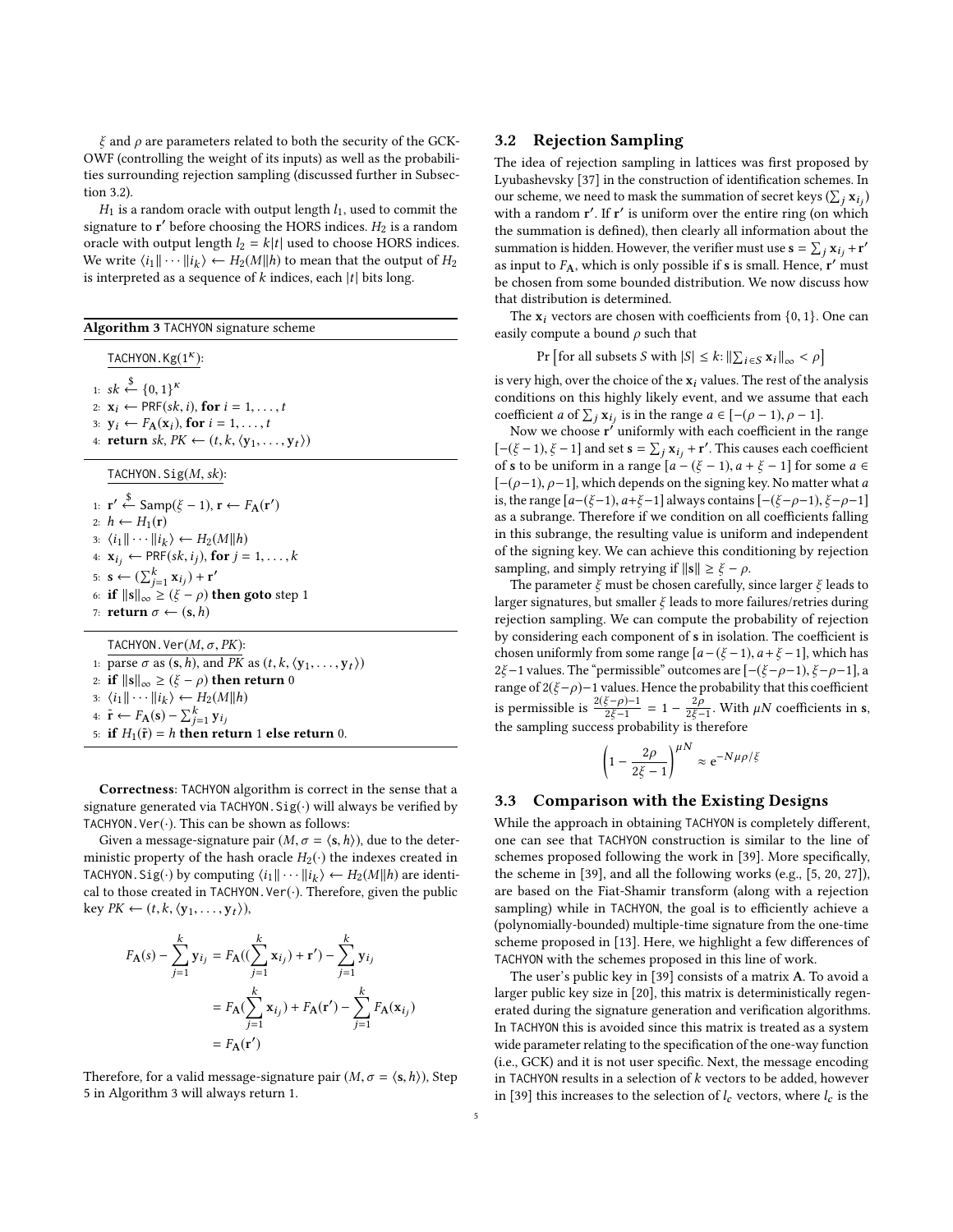$\xi$  and  $\rho$  are parameters related to both the security of the GCK-OWF (controlling the weight of its inputs) as well as the probabilities surrounding rejection sampling (discussed further in [Subsec](#page-4-1)[tion 3.2\)](#page-4-1).

 $H_1$  is a random oracle with output length  $l_1$ , used to commit the signature to  $\mathbf{r}'$  before choosing the HORS indices.  $H_2$  is a random oracle with output length  $l_2 = k|t|$  used to choose HORS indices. We write  $\langle i_1 || \cdots || i_k \rangle \leftarrow H_2(M||h)$  to mean that the output of  $H_2$ <br>is interpreted as a sequence of k indices, each |t| bits long is interpreted as a sequence of  $k$  indices, each  $|t|$  bits long.

<span id="page-4-2"></span>

| <b>Algorithm 3 TACHYON signature scheme</b>                                                         |
|-----------------------------------------------------------------------------------------------------|
| TACHYON. $Kg(1^k)$ :                                                                                |
|                                                                                                     |
| 1: $sk \stackrel{\$}{\leftarrow} \{0,1\}^{\kappa}$                                                  |
| 2: $\mathbf{x}_i \leftarrow \text{PRF}(sk, i)$ , for $i = 1, \ldots, t$                             |
| 3: $\mathbf{v}_i \leftarrow F_{\mathbf{A}}(\mathbf{x}_i)$ , for $i = 1, \ldots, t$                  |
| 4: <b>return</b> sk, $PK \leftarrow (t, k, \langle y_1, \ldots, y_t \rangle)$                       |
| TACHYON. $Sig(M, sk)$ :                                                                             |
| 1: $\mathbf{r}' \leftarrow \text{Samp}(\xi - 1), \mathbf{r} \leftarrow F_{\mathbf{A}}(\mathbf{r}')$ |
| 2: $h \leftarrow H_1(\mathbf{r})$                                                                   |
| 3: $\langle i_1 \  \cdots \  i_k \rangle \leftarrow H_2(M \  h)$                                    |
| 4: $\mathbf{x}_{i_j} \leftarrow \text{PRF}(sk, i_j)$ , for $j = 1, , k$                             |
| 5: $\mathbf{s} \leftarrow (\sum_{i=1}^{k} \mathbf{x}_{i}^{\prime}) + \mathbf{r'}$                   |
| 6: if $\ \mathbf{s}\ _{\infty} \geq (\xi - \rho)$ then goto step 1                                  |
| 7: <b>return</b> $\sigma \leftarrow (s, h)$                                                         |
| TACHYON. Ver $(M, \sigma, PK)$ :                                                                    |
| 1: parse $\sigma$ as $(s, h)$ , and PK as $(t, k, \langle y_1, \ldots, y_t \rangle)$                |
| 2: if $\ \mathbf{s}\ _{\infty} \geq (\xi - \rho)$ then return 0                                     |
| 3: $\langle i_1 \  \cdots \  i_k \rangle \leftarrow H_2(M  h)$                                      |
| 4: $\tilde{\mathbf{r}} \leftarrow F_{\mathbf{A}}(\mathbf{s}) - \sum_{j=1}^{k} \mathbf{y}_{i_j}$     |
| 5: if $H_1(\tilde{\mathbf{r}}) = h$ then return 1 else return 0.                                    |

Correctness: TACHYON algorithm is correct in the sense that a signature generated via TACHYON.  $Sig(\cdot)$  will always be verified by TACHYON. Ver $(\cdot)$ . This can be shown as follows:

Given a message-signature pair  $(M, \sigma = \langle s, h \rangle)$ , due to the deterministic property of the hash oracle  $H_2(\cdot)$  the indexes created in TACHYON. Sig(·) by computing  $\langle i_1 || \cdots || i_k \rangle \leftarrow H_2(M||h)$  are identi-<br>cal to those created in TACHYON Ver(·). Therefore, given the public cal to those created in TACHYON. Ver $(\cdot)$ . Therefore, given the public key  $PK \leftarrow (t, k, \langle y_1, \ldots, y_t \rangle),$ 

$$
F_{A}(s) - \sum_{j=1}^{k} \mathbf{y}_{i_j} = F_{A}((\sum_{j=1}^{k} \mathbf{x}_{i_j}) + \mathbf{r}') - \sum_{j=1}^{k} \mathbf{y}_{i_j}
$$
  
=  $F_{A}(\sum_{j=1}^{k} \mathbf{x}_{i_j}) + F_{A}(\mathbf{r}') - \sum_{j=1}^{k} F_{A}(\mathbf{x}_{i_j})$   
=  $F_{A}(\mathbf{r}')$ 

Therefore, for a valid message-signature pair  $(M, \sigma = \langle s, h \rangle)$ , Step 5 in [Algorithm 3](#page-4-2) will always return 1.

## <span id="page-4-1"></span>3.2 Rejection Sampling

The idea of rejection sampling in lattices was first proposed by Lyubashevsky [\[37\]](#page-12-18) in the construction of identification schemes. In our scheme, we need to mask the summation of secret keys  $(\sum_j \mathbf{x}_{ij})$ <br>with a random r' If r' is uniform over the entire ring (on which with a random r'. If r' is uniform over the entire ring (on which the summation is defined), then clearly all information about the summation is hidden. However, the verifier must use  $\mathbf{s} = \sum_j \mathbf{x}_{ij} + \mathbf{r}'$ <br>as input to  $F_{\mathbf{s}}$ , which is only possible if  $\mathbf{s}$  is small. Hence  $\mathbf{r}'$  must as input to  $F_A$ , which is only possible if **s** is small. Hence,  $r'$  must be chosen from some bounded distribution. We now discuss how that distribution is determined.

The  $x_i$  vectors are chosen with coefficients from  $\{0, 1\}$ . One can easily compute a bound  $\rho$  such that

$$
\Pr\left[\text{for all subsets } S \text{ with } |S| \le k : \|\sum_{i \in S} \mathbf{x}_i\|_{\infty} < \rho\right]
$$

is very high, over the choice of the  $x_i$  values. The rest of the analysis conditions on this highly likely event, and we assume that each coefficient a of  $\sum_j \mathbf{x}_{ij}$  is in the range  $a \in [-(\rho-1), \rho-1]$ .<br>Now we choose r' uniformly with each coefficient in the

Now we choose  $\mathbf{r}'$  uniformly with each coefficient in the range  $[-(\xi - 1), \xi - 1]$  and set  $s = \sum_j x_{ij} + r'$ . This causes each coefficient<br>of s to be uniform in a range  $[a - (\xi - 1) \ a + \xi - 1]$  for some  $a \in$ of s to be uniform in a range  $[a - (\xi - 1), a + \xi - 1]$  for some  $a \in$  $[-(\rho-1), \rho-1]$ , which depends on the signing key. No matter what a is, the range  $[a-(\xi-1), a+\xi-1]$  always contains  $[-(\xi-\rho-1), \xi-\rho-1]$ as a subrange. Therefore if we condition on all coefficients falling in this subrange, the resulting value is uniform and independent of the signing key. We can achieve this conditioning by rejection sampling, and simply retrying if  $\|\mathbf{s}\| \geq \xi - \rho$ .

The parameter  $\xi$  must be chosen carefully, since larger  $\xi$  leads to larger signatures, but smaller  $\xi$  leads to more failures/retries during rejection sampling. We can compute the probability of rejection by considering each component of s in isolation. The coefficient is chosen uniformly from some range  $[a-(\xi-1), a+\xi-1]$ , which has 2ξ−1 values. The "permissible" outcomes are  $[-(\xi-\rho-1),\xi-\rho-1]$ , a range of  $2(\xi-\rho)-1$  values. Hence the probability that this coefficient is permissible is  $\frac{2(\xi-\rho)-1}{2\xi-1}$  $\frac{\xi - \rho - 1}{2\xi - 1} = 1 - \frac{2\rho}{2\xi - 1}$  $\frac{2\rho}{2\xi - 1}$ . With  $\mu N$  coefficients in s, the sampling success probability is therefore

$$
\left(1 - \frac{2\rho}{2\xi - 1}\right)^{\mu N} \approx e^{-N\mu\rho/\xi}
$$

## <span id="page-4-0"></span>3.3 Comparison with the Existing Designs

While the approach in obtaining TACHYON is completely different, one can see that TACHYON construction is similar to the line of schemes proposed following the work in [\[39\]](#page-12-3). More specifically, the scheme in [\[39\]](#page-12-3), and all the following works (e.g., [\[5,](#page-11-8) [20,](#page-11-4) [27\]](#page-11-9)), are based on the Fiat-Shamir transform (along with a rejection sampling) while in TACHYON, the goal is to efficiently achieve a (polynomially-bounded) multiple-time signature from the one-time scheme proposed in [\[13\]](#page-11-1). Here, we highlight a few differences of TACHYON with the schemes proposed in this line of work.

The user's public key in [\[39\]](#page-12-3) consists of a matrix A. To avoid a larger public key size in [\[20\]](#page-11-4), this matrix is deterministically regenerated during the signature generation and verification algorithms. In TACHYON this is avoided since this matrix is treated as a system wide parameter relating to the specification of the one-way function (i.e., GCK) and it is not user specific. Next, the message encoding in TACHYON results in a selection of  $k$  vectors to be added, however in [\[39\]](#page-12-3) this increases to the selection of  $l_c$  vectors, where  $l_c$  is the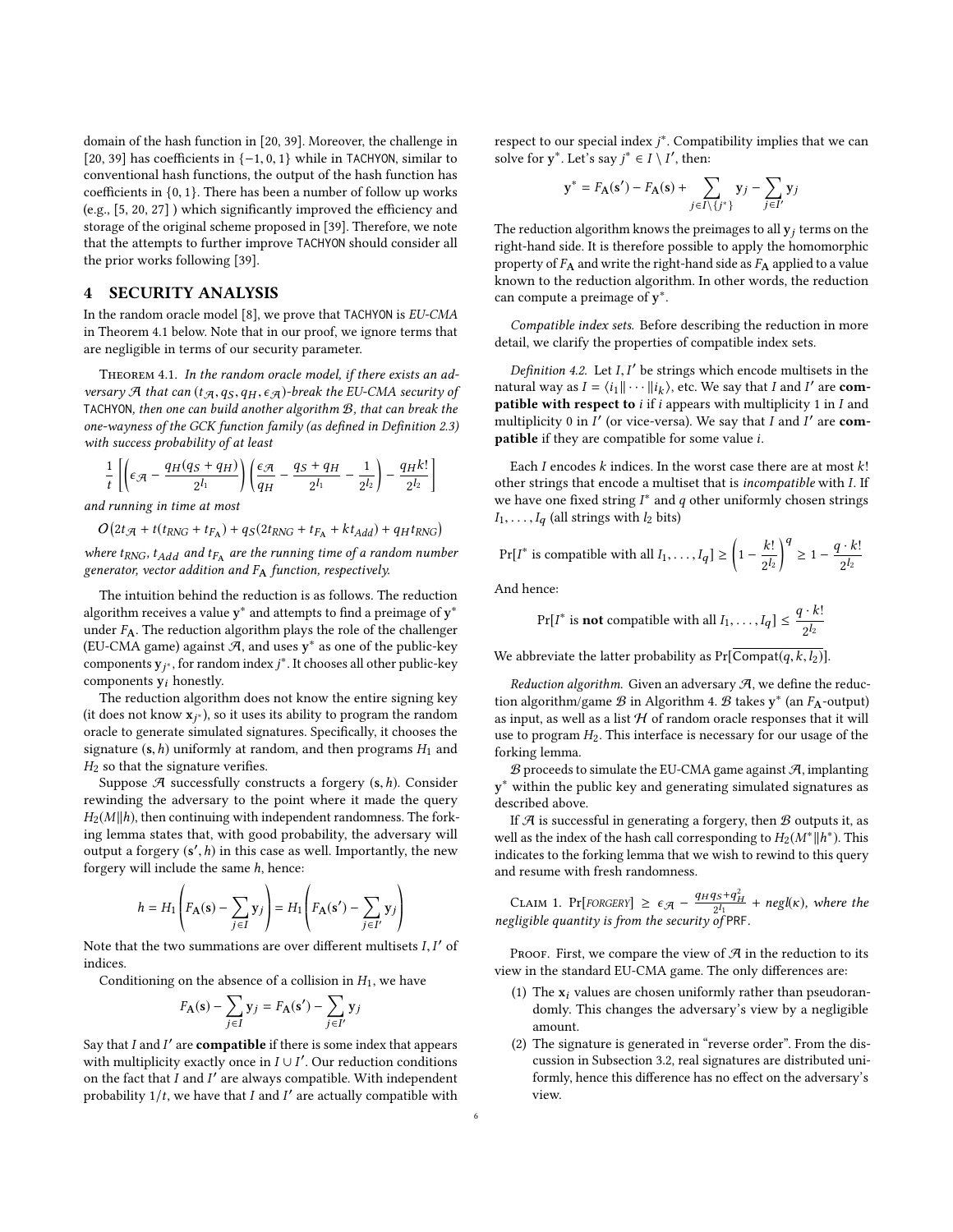domain of the hash function in [\[20,](#page-11-4) [39\]](#page-12-3). Moreover, the challenge in [\[20,](#page-11-4) [39\]](#page-12-3) has coefficients in {−1, <sup>0</sup>, <sup>1</sup>} while in TACHYON, similar to conventional hash functions, the output of the hash function has coefficients in {0, <sup>1</sup>}. There has been a number of follow up works (e.g., [\[5,](#page-11-8) [20,](#page-11-4) [27\]](#page-11-9) ) which significantly improved the efficiency and storage of the original scheme proposed in [\[39\]](#page-12-3). Therefore, we note that the attempts to further improve TACHYON should consider all the prior works following [\[39\]](#page-12-3).

## 4 SECURITY ANALYSIS

In the random oracle model [\[8\]](#page-11-23), we prove that TACHYON is EU-CMA in [Theorem 4.1](#page-5-0) below. Note that in our proof, we ignore terms that are negligible in terms of our security parameter.

<span id="page-5-0"></span>THEOREM 4.1. In the random oracle model, if there exists an adversary A that can  $(t_{A},q_S,q_H,\epsilon_A)$ -break the EU-CMA security of TACHYON, then one can build another algorithm B, that can break the one-wayness of the GCK function family (as defined in [Definition 2.3\)](#page-2-3) with success probability of at least

$$
\frac{1}{t}\left[\left(\epsilon_{\mathcal{A}}-\frac{q_H(q_S+q_H)}{2^{l_1}}\right)\left(\frac{\epsilon_{\mathcal{A}}}{q_H}-\frac{q_S+q_H}{2^{l_1}}-\frac{1}{2^{l_2}}\right)-\frac{q_Hk!}{2^{l_2}}\right]
$$

and running in time at most

 $O(2t_{\mathcal{A}} + t(t_{RNG} + t_{F_A}) + q_S(2t_{RNG} + t_{F_A} + kt_{Add}) + q_H t_{RNG})$ 

where  $t_{RNG}$ ,  $t_{Add}$  and  $t_{FA}$  are the running time of a random number<br>generator, vector addition and E, function, respectively. generator, vector addition and  $F_A$  function, respectively.

The intuition behind the reduction is as follows. The reduction algorithm receives a value  $\mathbf{y}^*$  and attempts to find a preimage of  $\mathbf{y}^*$ under  $F_A$ . The reduction algorithm plays the role of the challenger (EU-CMA game) against  $\overline{\mathcal{A}}$ , and uses  $y^*$  as one of the public-key components  $y_j^*$ , for random index  $j^*$ . It chooses all other public-key components  $y_i$  honestly.

The reduction algorithm does not know the entire signing key (it does not know  $\mathbf{x}_{j^*}$ ), so it uses its ability to program the random<br>oracle to generate simulated signatures. Specifically it chooses the oracle to generate simulated signatures. Specifically, it chooses the signature  $(s, h)$  uniformly at random, and then programs  $H_1$  and  $H_2$  so that the signature verifies.

Suppose  $\mathcal A$  successfully constructs a forgery  $(s, h)$ . Consider rewinding the adversary to the point where it made the query  $H_2(M||h)$ , then continuing with independent randomness. The forking lemma states that, with good probability, the adversary will output a forgery  $(s', h)$  in this case as well. Importantly, the new forgery will include the same h, hence:

$$
h = H_1\left(F_{\mathbf{A}}(\mathbf{s}) - \sum_{j \in I} \mathbf{y}_j\right) = H_1\left(F_{\mathbf{A}}(\mathbf{s}') - \sum_{j \in I'} \mathbf{y}_j\right)
$$

Note that the two summations are over different multisets *I*, *I'* of indices indices.

Conditioning on the absence of a collision in  $H_1$ , we have

$$
F_{\mathbf{A}}(\mathbf{s}) - \sum_{j \in I} \mathbf{y}_j = F_{\mathbf{A}}(\mathbf{s}') - \sum_{j \in I'} \mathbf{y}_j
$$

Say that  $I$  and  $I'$  are **compatible** if there is some index that appears with multiplicity exactly once in  $I \cup I'$ . Our reduction conditions on the fact that  $I$  and  $I'$  are always compatible. With independent probability  $1/t$ , we have that  $I$  and  $I'$  are actually compatible with respect to our special index  $j^*$ . Compatibility implies that we can solve for  $y^*$ . Let's say  $j^* \in I \setminus I'$ , then:

$$
\mathbf{y}^* = F_{\mathbf{A}}(\mathbf{s}') - F_{\mathbf{A}}(\mathbf{s}) + \sum_{j \in I \setminus \{j^*\}} \mathbf{y}_j - \sum_{j \in I'} \mathbf{y}_j
$$

The reduction algorithm knows the preimages to all  $y_i$  terms on the right-hand side. It is therefore possible to apply the homomorphic property of  $F_A$  and write the right-hand side as  $F_A$  applied to a value known to the reduction algorithm. In other words, the reduction can compute a preimage of y<sup>\*</sup>.

Compatible index sets. Before describing the reduction in more detail, we clarify the properties of compatible index sets.

*Definition 4.2.* Let *I*, *I'* be strings which encode multisets in the burst vary as  $I = \{i, ||, \ldots || i, \cdot \rangle \}$  etc. We say that *I* and *I'* are **com**. natural way as  $I = \langle i_1 || \cdots || i_k \rangle$ , etc. We say that I and I' are **com-**<br>**patible with respect to** i if i appears with multiplicity 1 in I and patible with respect to  $i$  if  $i$  appears with multiplicity 1 in  $I$  and multiplicity 0 in  $I'$  (or vice-versa). We say that  $I$  and  $I'$  are **com**patible if they are compatible for some value i.

Each  $I$  encodes  $k$  indices. In the worst case there are at most  $k!$ other strings that encode a multiset that is incompatible with I. If we have one fixed string  $I^*$  and  $q$  other uniformly chosen strings  $I_1, \ldots, I_q$  (all strings with  $l_2$  bits)

$$
\Pr[I^* \text{ is compatible with all } I_1, \dots, I_q] \ge \left(1 - \frac{k!}{2^{l_2}}\right)^q \ge 1 - \frac{q \cdot k!}{2^{l_2}}
$$

And hence:

$$
Pr[I^* \text{ is not compatible with all } I_1, \ldots, I_q] \le \frac{q \cdot k!}{2^{l_2}}
$$

We abbreviate the latter probability as  $Pr[Compat(q, k, l_2)]$ .

Reduction algorithm. Given an adversary  $A$ , we define the reduction algorithm/game  ${\mathcal{B}}$  in [Algorithm 4.](#page-6-0)  $\overline{{\mathcal{B}}}$  takes  $\mathbf{y}^*$  (an  $F_{\mathbf{A}}$ -output) as input, as well as a list  $H$  of random oracle responses that it will use to program  $H_2$ . This interface is necessary for our usage of the forking lemma.

 $\mathcal B$  proceeds to simulate the EU-CMA game against  $\mathcal A$ , implanting y ∗ within the public key and generating simulated signatures as described above.

If  $A$  is successful in generating a forgery, then  $B$  outputs it, as well as the index of the hash call corresponding to  $H_2(M^*||h^*)$ . This indicates to the forking lemma that we wish to rewind to this query and resume with fresh randomness.

<span id="page-5-1"></span>CLAIM 1. Pr[FORGERY]  $\geq \epsilon_{\mathcal{A}} - \frac{q_H q_S + q_H^2}{2^{l_1}} + negl(\kappa)$ , where the negligible quantity is from the security of PRF.

PROOF. First, we compare the view of  $\mathcal A$  in the reduction to its view in the standard EU-CMA game. The only differences are:

- (1) The  $x_i$  values are chosen uniformly rather than pseudorandomly. This changes the adversary's view by a negligible amount.
- (2) The signature is generated in "reverse order". From the discussion in [Subsection 3.2,](#page-4-1) real signatures are distributed uniformly, hence this difference has no effect on the adversary's view.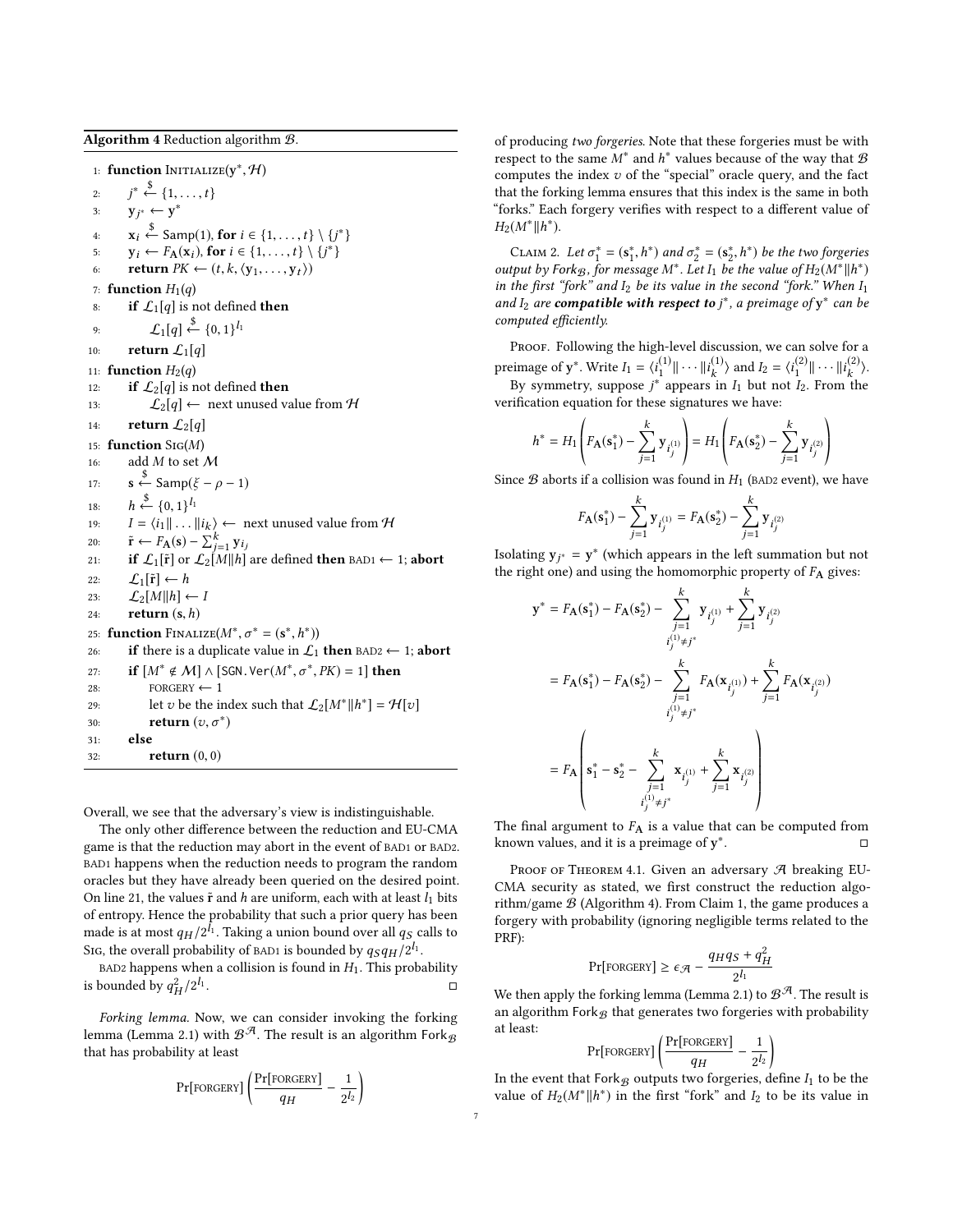<span id="page-6-0"></span>Algorithm 4 Reduction algorithm B.

1: **function**  $\text{INITIALIZE}(y^*, \mathcal{H})$  $2:$  $*\overset{\$}{\leftarrow} \{1,\ldots,t\}$ 3:  $y_j^* \leftarrow y^*$ 4:  $\mathbf{x}_i \leftarrow \text{Samp}(1), \text{ for } i \in \{1, ..., t\} \setminus \{j^*\}$ 5:  $y_i \leftarrow F_A(x_i)$ , for  $i \in \{1, ..., t\} \setminus \{j^*\}$ <br>6. return  $PK \leftarrow (t \mid k \mid (y_i, ..., y_i))$ 6: **return**  $PK \leftarrow (t, k, \langle y_1, \ldots, y_t \rangle)$ 7: function  $H_1(q)$ 8: if  $\mathcal{L}_1[q]$  is not defined then 9:  $\mathcal{L}_1[q] \stackrel{\$}{\leftarrow} \{0,1\}^{l_1}$ 10: **return**  $\mathcal{L}_1[q]$ 11: **function**  $H_2(q)$ 12: **if**  $\mathcal{L}_2[q]$  is not defined **then** 13:  $\mathcal{L}_2[q] \leftarrow$  next unused value from H 14: **return**  $\mathcal{L}_2[q]$ 15: function Sig(M) 16: add  $M$  to set  $\mathcal M$  $17:$  $s \stackrel{\$}{\leftarrow}$  Samp( $\xi - \rho - 1$ )  $18:$  $\xrightarrow{6} \{0, 1\}^{l_1}$ <br>-  $\langle i, 1, 1 \rangle$ 19:  $I = \langle i_1 || \dots || i_k \rangle$  ← next unused value from  $\mathcal{H}$ <br>20.  $\tilde{P}$  (c)  $\sum_{k=1}^{k} K_k$ 20:  $\tilde{\mathbf{r}} \leftarrow F_{\mathbf{A}}(\mathbf{s}) - \sum_{j=1}^{k} \mathbf{y}_{i_j}$ <br>21. **if**  $f \circ \tilde{\mathbf{r}}$  or  $f \circ M || h$ 21: if  $\mathcal{L}_1[\tilde{r}]$  or  $\mathcal{L}_2[M||h]$  are defined then BAD1  $\leftarrow$  1; abort 22:  $\mathcal{L}_1[\tilde{r}] \leftarrow h$ 23:  $\mathcal{L}_2[M||h] \leftarrow I$ 24: return (s,h) 25: **function** FINALIZE( $M^*, \sigma^* = (\mathbf{s}^*, h^*))$ <br>26. **if** there is a duplicate value in  $f_A$ 26: if there is a duplicate value in  $\mathcal{L}_1$  then BAD2  $\leftarrow$  1; abort 27: **if**  $[M^* \notin M] \wedge [\text{SGN} \cdot \text{Ver}(M^*, \sigma^*, PK) = 1]$  then 28: FORGERY  $\leftarrow$  1 29: let v be the index such that  $\mathcal{L}_2[M^*||h^*] = \mathcal{H}[v]$ 30: **return**  $(v, \sigma^*)$ 31: else 32: return (0, <sup>0</sup>)

Overall, we see that the adversary's view is indistinguishable.

The only other difference between the reduction and EU-CMA game is that the reduction may abort in the event of BAD1 or BAD2. BAD1 happens when the reduction needs to program the random oracles but they have already been queried on the desired point. On line 21, the values  $\tilde{\mathbf{r}}$  and h are uniform, each with at least  $l_1$  bits of entropy. Hence the probability that such a prior query has been made is at most  $q_H/2^{l_1}$ . Taking a union bound over all  $q_S$  calls to  $S_{12}$ , the overall probability of paperished by  $g_{2}g_{21}/2^{l_1}$ Sig, the overall probability of BAD1 is bounded by  $qSqH/2^{l_1}$ .<br>RAD2 happens when a collision is found in H. This probability

BAD2 happens when a collision is found in  $H_1$ . This probability is bounded by  $q_H^2/2^{l_1}$ . □

Forking lemma. Now, we can consider invoking the forking lemma [\(Lemma 2.1\)](#page-2-1) with  $\mathcal{B^{\mathcal{A}}}$ . The result is an algorithm Fork $_{\mathcal{B}}$ that has probability at least

$$
\Pr[\text{FORGERY}] \left(\frac{\Pr[\text{FORGERY}]}{q_H} - \frac{1}{2^{l_2}}\right)
$$

of producing two forgeries. Note that these forgeries must be with respect to the same  $M^*$  and  $h^*$  values because of the way that  $B$ computes the index  $v$  of the "special" oracle query, and the fact that the forking lemma ensures that this index is the same in both "forks." Each forgery verifies with respect to a different value of  $H_2(M^*||h^*)$ .

CLAIM 2. Let  $\sigma_1^* = (\mathbf{s}_1^*, h^*)$  and  $\sigma_2^* = (\mathbf{s}_2^*, h^*)$  be the two forgeries output by Forkg, for message  $M^*$ . Let  $I_1$  be the value of  $H_2(M^*||h^*)$ in the first "fork" and  $I_2$  be its value in the second "fork." When  $I_1$ and  $I_2$  are compatible with respect to  $j^*$ , a preimage of  $y^*$  can be computed efficiently.

PROOF. Following the high-level discussion, we can solve for a preimage of y<sup>\*</sup>. Write  $I_1 = \langle i_1^{(1)} \| \cdots \| i_k^{(1)} \rangle$ k  $\rangle$  and  $I_2 = \langle i_1^{(2)} \| \cdots \| i_k^{(2)} \rangle$ k ⟩. By symmetry, suppose  $j^*$  appears in  $I_1$  but not  $I_2$ . From the verification equation for these signatures we have:

$$
h^* = H_1\left(F_{\mathbf{A}}(\mathbf{s}_1^*) - \sum_{j=1}^k \mathbf{y}_{i_j^{(1)}}\right) = H_1\left(F_{\mathbf{A}}(\mathbf{s}_2^*) - \sum_{j=1}^k \mathbf{y}_{i_j^{(2)}}\right)
$$

Since  $\mathcal B$  aborts if a collision was found in  $H_1$  (BAD2 event), we have

$$
F_{\mathbf{A}}(\mathbf{s}_1^*) - \sum_{j=1}^k \mathbf{y}_{i_j^{(1)}} = F_{\mathbf{A}}(\mathbf{s}_2^*) - \sum_{j=1}^k \mathbf{y}_{i_j^{(2)}}
$$

Isolating  $y_{j^*} = y^*$  (which appears in the left summation but not the right one) and using the homomorphic property of  $F_2$  gives: the right one) and using the homomorphic property of  $F_A$  gives:

$$
\mathbf{y}^* = F_A(\mathbf{s}_1^*) - F_A(\mathbf{s}_2^*) - \sum_{\substack{j=1 \ j \neq j^*}}^k \mathbf{y}_{i_j^{(1)}} + \sum_{j=1}^k \mathbf{y}_{i_j^{(2)}} \n= F_A(\mathbf{s}_1^*) - F_A(\mathbf{s}_2^*) - \sum_{\substack{j=1 \ i_j^{(1)} \neq j^*}}^k F_A(\mathbf{x}_{i_j^{(1)}}) + \sum_{j=1}^k F_A(\mathbf{x}_{i_j^{(2)}}) \n= F_A \left( \mathbf{s}_1^* - \mathbf{s}_2^* - \sum_{\substack{j=1 \ j \neq j^*}}^k \mathbf{x}_{i_j^{(1)}} + \sum_{j=1}^k \mathbf{x}_{i_j^{(2)}} \right) \n= \sum_{\substack{j=1 \ i_j^{(1)} \neq j^*}}^k \mathbf{y}_{i_j^{(2)}} + \sum_{\substack{j=1 \ i_j^{(1)} \neq j^*}}^k \mathbf{y}_{i_j^{(2)}}
$$

The final argument to  $F_A$  is a value that can be computed from known values, and it is a preimage of y<sup>\*</sup> . □

PROOF OF THEOREM 4.1. Given an adversary  $\mathcal A$  breaking EU-CMA security as stated, we first construct the reduction algorithm/game  $\mathcal{B}$  [\(Algorithm 4\)](#page-6-0). From Claim [1,](#page-5-1) the game produces a forgery with probability (ignoring negligible terms related to the PRF):

$$
Pr[\text{FORGERY}] \ge \epsilon_{\mathcal{A}} - \frac{q_H q_S + q_H^2}{2^{l_1}}
$$

We then apply the forking lemma [\(Lemma 2.1\)](#page-2-1) to  $\mathcal{B}^{\mathcal{A}}$ . The result is an algorithm Fork $\beta$  that generates two forgeries with probability at least:

Pr[FORGER] 
$$
\left( \frac{Pr[FORGER]}{q_H} - \frac{1}{2^{l_2}} \right)
$$
  
at Ferk a output true forgenies d

In the event that  $Fork_{\mathcal{B}}$  outputs two forgeries, define  $I_1$  to be the value of  $H_2(M^* \| h^*)$  in the first "fork" and  $I_2$  to be its value in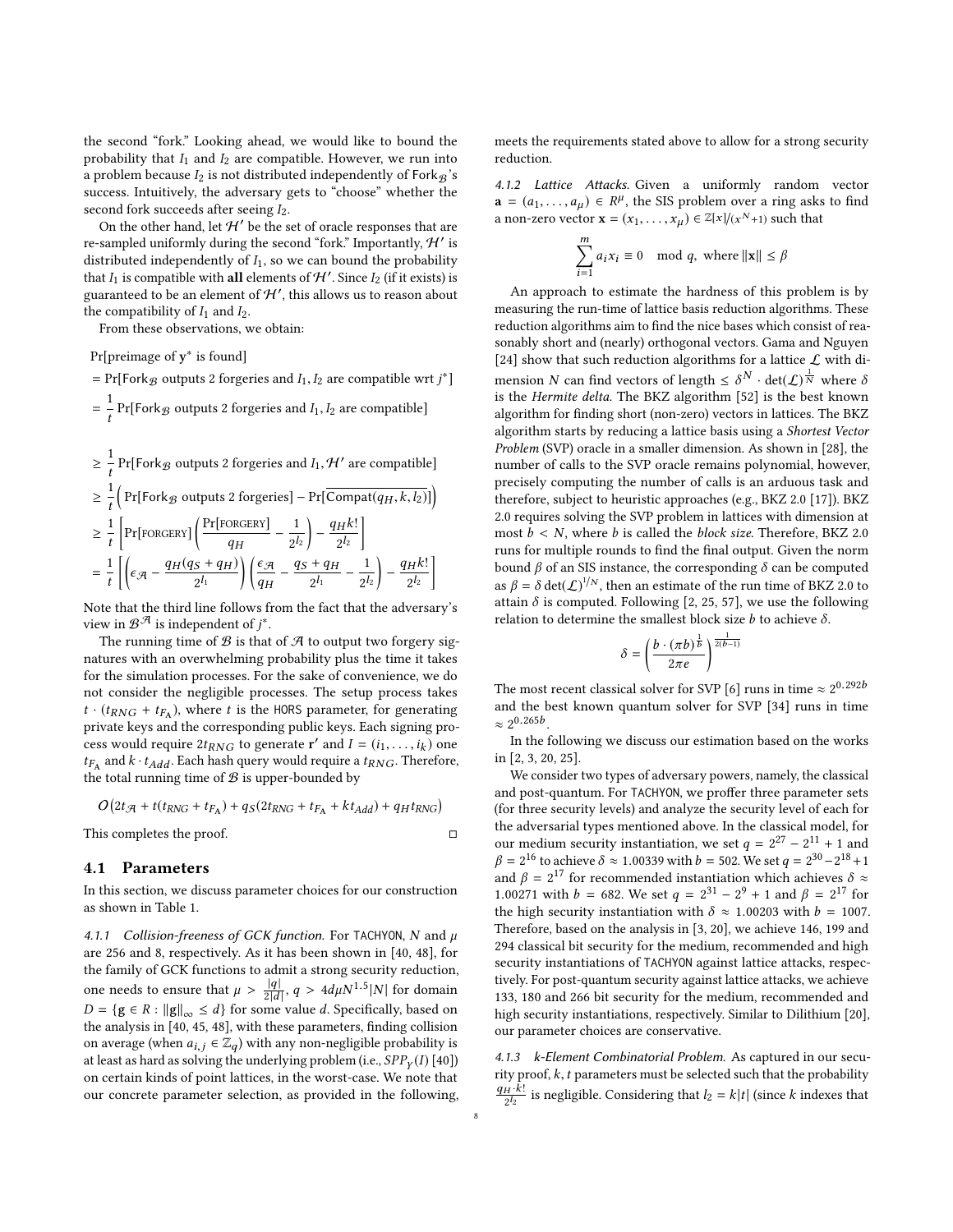the second "fork." Looking ahead, we would like to bound the probability that  $I_1$  and  $I_2$  are compatible. However, we run into a problem because  $I_2$  is not distributed independently of Fork $\mathcal{B}$ 's success. Intuitively, the adversary gets to "choose" whether the second fork succeeds after seeing  $I_2$ .

On the other hand, let  $\mathcal{H}'$  be the set of oracle responses that are re-sampled uniformly during the second "fork." Importantly,  $\mathcal{H}'$  is distributed independently of  $I_1$ , so we can bound the probability that  $I_1$  is compatible with all elements of  $H'$ . Since  $I_2$  (if it exists) is guaranteed to be an element of  $\mathcal{H}'$ , this allows us to reason about the compatibility of  $I_1$  and  $I_2$ .

From these observations, we obtain:

Pr[preimage of y<sup>\*</sup> is found]

1

= Pr[Fork  $\mathcal{B}$  outputs 2 forgeries and  $I_1, I_2$  are compatible wrt  $j^*$ ] = 1  $\frac{1}{t}$  Pr[Fork<sub>B</sub> outputs 2 forgeries and  $I_1, I_2$  are compatible]

$$
\geq \frac{1}{t} \Pr[\text{Fork}_{\mathcal{B}} \text{ outputs 2 forgeries and } I_1, \mathcal{H}' \text{ are compatible}]
$$
  
\n
$$
\geq \frac{1}{t} \Big( \Pr[\text{Fork}_{\mathcal{B}} \text{ outputs 2 forgeries}] - \Pr[\overline{\text{Compact}(q_H, k, l_2)}] \Big)
$$
  
\n
$$
\geq \frac{1}{t} \Big[ \Pr[\text{FORGERY}] \Big( \frac{\Pr[\text{FORGERY}]}{q_H} - \frac{1}{2^{l_2}} \Big) - \frac{q_H k!}{2^{l_2}} \Big]
$$
  
\n
$$
= \frac{1}{t} \Big[ \Big( \epsilon_{\mathcal{A}} - \frac{q_H(q_S + q_H)}{2^{l_1}} \Big) \Big( \frac{\epsilon_{\mathcal{A}}}{q_H} - \frac{q_S + q_H}{2^{l_1}} - \frac{1}{2^{l_2}} \Big) - \frac{q_H k!}{2^{l_2}} \Big]
$$

Note that the third line follows from the fact that the adversary's view in  $\mathcal{B}^{\mathcal{A}}$  is independent of  $j^*.$ 

The running time of  $\mathcal B$  is that of  $\mathcal A$  to output two forgery signatures with an overwhelming probability plus the time it takes for the simulation processes. For the sake of convenience, we do not consider the negligible processes. The setup process takes  $t \cdot (t_{RNG} + t_{FA})$ , where t is the HORS parameter, for generating<br>private leave and the corresponding public leave. Each signing proprivate keys and the corresponding public keys. Each signing process would require  $2t_{RNG}$  to generate r' and  $I = (i_1, \ldots, i_k)$  one<br>trained k, t,  $i, j$  Each bash query would require a train. Therefore  $t_{FA}$  and  $k \cdot t_{Add}$ . Each hash query would require a  $t_{RNG}$ . Therefore, the total running time of  $\mathcal{B}$  is upper-bounded by the total running time of  $B$  is upper-bounded by

$$
O\big(2t_{\mathcal{A}} + t(t_{RNG} + t_{F_A}) + q_S(2t_{RNG} + t_{F_A} + kt_{Add}) + q_H t_{RNG}\big)
$$

This completes the proof. □

<span id="page-7-0"></span>4.1 Parameters

In this section, we discuss parameter choices for our construction as shown in [Table 1.](#page-8-2)

4.1.1 Collision-freeness of GCK function. For TACHYON, N and  $\mu$ are 256 and 8, respectively. As it has been shown in [\[40,](#page-12-12) [48\]](#page-12-17), for the family of GCK functions to admit a strong security reduction, one needs to ensure that  $\mu > \frac{|q|}{2|d|}$ ,  $q > 4d\mu N^{1.5}|N|$  for domain  $D = \{q \in \mathbb{R} : ||q|| \leq d\}$  for some value d. Specifically based on  $D = \{g \in R : ||g||_{\infty} \le d\}$  for some value d. Specifically, based on the analysis in [\[40,](#page-12-12) [45,](#page-12-16) [48\]](#page-12-17), with these parameters, finding collision on average (when  $a_{i,j} \in \mathbb{Z}_q$ ) with any non-negligible probability is at least as hard as solving the underlying problem (i.e.,  $SPP<sub>Y</sub>(I)$  [\[40\]](#page-12-12)) on certain kinds of point lattices, in the worst-case. We note that our concrete parameter selection, as provided in the following, meets the requirements stated above to allow for a strong security reduction.

4.1.2 Lattice Attacks. Given a uniformly random vector  $\mathbf{a} = (a_1, \dots, a_\mu) \in \mathbb{R}^\mu$ , the SIS problem over a ring asks to find<br>a non-zero vector  $\mathbf{x} = (x_1, \dots, x_n) \in \mathbb{Z}[\mathbf{x}]/(x^{N+1})$  such that a non-zero vector  $\mathbf{x} = (x_1, \dots, x_\mu) \in \mathbb{Z}[x]/(x^N+1)$  such that

$$
\sum_{i=1}^{m} a_i x_i \equiv 0 \mod q, \text{ where } ||\mathbf{x}|| \leq \beta
$$

 $\frac{1}{i=1}$ <br>An approach to estimate the hardness of this problem is by measuring the run-time of lattice basis reduction algorithms. These reduction algorithms aim to find the nice bases which consist of reasonably short and (nearly) orthogonal vectors. Gama and Nguyen [\[24\]](#page-11-25) show that such reduction algorithms for a lattice  $\mathcal L$  with dimension N can find vectors of length  $\leq \delta^N \cdot det(\mathcal{L})^{\frac{1}{N}}$  where  $\delta$ is the Hermite delta. The BKZ algorithm [\[52\]](#page-12-15) is the best known algorithm for finding short (non-zero) vectors in lattices. The BKZ algorithm starts by reducing a lattice basis using a Shortest Vector Problem (SVP) oracle in a smaller dimension. As shown in [\[28\]](#page-11-26), the number of calls to the SVP oracle remains polynomial, however, precisely computing the number of calls is an arduous task and therefore, subject to heuristic approaches (e.g., BKZ 2.0 [\[17\]](#page-11-27)). BKZ 2.0 requires solving the SVP problem in lattices with dimension at most  $b < N$ , where b is called the block size. Therefore, BKZ 2.0 runs for multiple rounds to find the final output. Given the norm bound  $\beta$  of an SIS instance, the corresponding  $\delta$  can be computed as  $\beta = \delta \det(\mathcal{L})^{1/N}$ , then an estimate of the run time of BKZ 2.0 to attain  $\delta$  is computed. Following [\[2,](#page-11-28) [25,](#page-11-29) [57\]](#page-12-19), we use the following relation to determine the smallest block size  $b$  to achieve  $\delta$ .

$$
\delta = \left(\frac{b\cdot(\pi b)^{\frac{1}{b}}}{2\pi e}\right)^{\frac{1}{2(b-1)}}
$$

The most recent classical solver for SVP [\[6\]](#page-11-30) runs in time  $\approx 2^{0.292b}$ and the best known quantum solver for SVP [\[34\]](#page-11-31) runs in time  $\approx 2^{0.265b}$ .

In the following we discuss our estimation based on the works in [\[2,](#page-11-28) [3,](#page-11-32) [20,](#page-11-4) [25\]](#page-11-29).

We consider two types of adversary powers, namely, the classical and post-quantum. For TACHYON, we proffer three parameter sets (for three security levels) and analyze the security level of each for the adversarial types mentioned above. In the classical model, for our medium security instantiation, we set  $q = 2^{27} - 2^{11} + 1$  and  $\beta = 2^{16}$  to achieve  $\delta \approx 1.00339$  with  $b = 502$ . We set  $q = 2^{30} - 2^{18} + 1$ and  $\beta = 2^{17}$  for recommended instantiation which achieves  $\delta \approx$ 1.00271 with  $b = 682$ . We set  $q = 2^{31} - 2^9 + 1$  and  $\beta = 2^{17}$  for the bigh sequrity instantiation with  $\delta \approx 1.00203$  with  $b = 1007$ the high security instantiation with  $\delta \approx 1.00203$  with  $b = 1007$ . Therefore, based on the analysis in [\[3,](#page-11-32) [20\]](#page-11-4), we achieve 146, 199 and 294 classical bit security for the medium, recommended and high security instantiations of TACHYON against lattice attacks, respectively. For post-quantum security against lattice attacks, we achieve 133, 180 and 266 bit security for the medium, recommended and high security instantiations, respectively. Similar to Dilithium [\[20\]](#page-11-4), our parameter choices are conservative.

4.1.3 k-Element Combinatorial Problem. As captured in our security proof,  $k$ ,  $t$  parameters must be selected such that the probability  $\frac{q_H \cdot k!}{2^{l_2}}$  is negligible. Considering that  $l_2 = k|t|$  (since k indexes that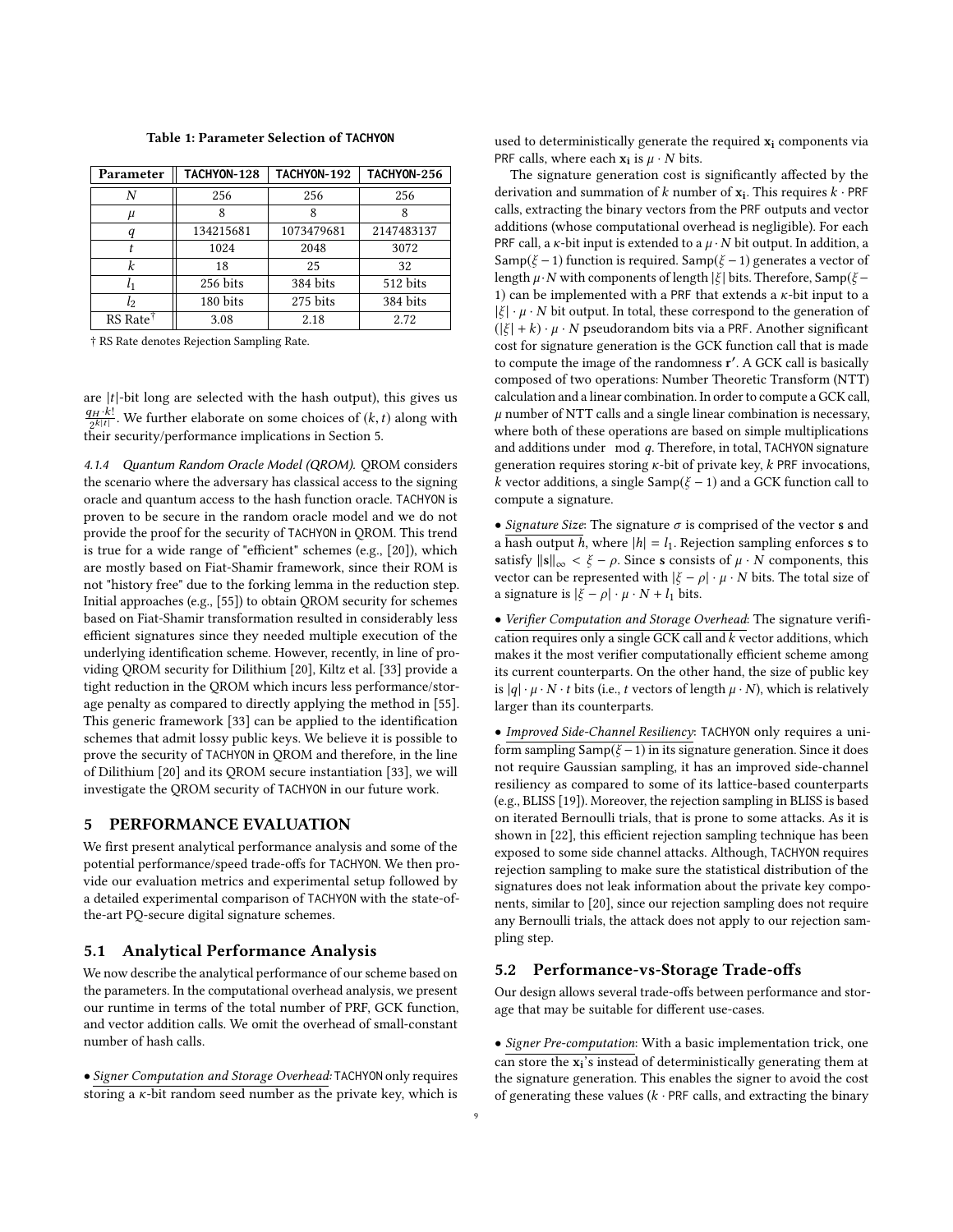<span id="page-8-2"></span>

| Parameter            | TACHYON-128 | TACHYON-192 | TACHYON-256 |  |  |
|----------------------|-------------|-------------|-------------|--|--|
| N                    | 256         | 256         | 256         |  |  |
| μ                    | 8           |             |             |  |  |
|                      | 134215681   | 1073479681  | 2147483137  |  |  |
|                      | 1024        | 2048        | 3072        |  |  |
| k                    | 18          | 25          | 32          |  |  |
| $l_{1}$              | 256 bits    | 384 bits    | 512 bits    |  |  |
| $l_2$                | 180 bits    | 275 bits    | 384 bits    |  |  |
| RS Rate <sup>†</sup> | 3.08        | 2.18        | 2.72        |  |  |

† RS Rate denotes Rejection Sampling Rate.

are  $|t|$ -bit long are selected with the hash output), this gives us  $\frac{q_H \cdot k!}{2^{k|t|}}$ . We further elaborate on some choices of  $(k, t)$  along with their security/performance implications in [Section 5.](#page-8-0)

4.1.4 Quantum Random Oracle Model (QROM). QROM considers the scenario where the adversary has classical access to the signing oracle and quantum access to the hash function oracle. TACHYON is proven to be secure in the random oracle model and we do not provide the proof for the security of TACHYON in QROM. This trend is true for a wide range of "efficient" schemes (e.g., [\[20\]](#page-11-4)), which are mostly based on Fiat-Shamir framework, since their ROM is not "history free" due to the forking lemma in the reduction step. Initial approaches (e.g., [\[55\]](#page-12-20)) to obtain QROM security for schemes based on Fiat-Shamir transformation resulted in considerably less efficient signatures since they needed multiple execution of the underlying identification scheme. However, recently, in line of providing QROM security for Dilithium [\[20\]](#page-11-4), Kiltz et al. [\[33\]](#page-11-33) provide a tight reduction in the QROM which incurs less performance/storage penalty as compared to directly applying the method in [\[55\]](#page-12-20). This generic framework [\[33\]](#page-11-33) can be applied to the identification schemes that admit lossy public keys. We believe it is possible to prove the security of TACHYON in QROM and therefore, in the line of Dilithium [\[20\]](#page-11-4) and its QROM secure instantiation [\[33\]](#page-11-33), we will investigate the QROM security of TACHYON in our future work.

## <span id="page-8-0"></span>5 PERFORMANCE EVALUATION

We first present analytical performance analysis and some of the potential performance/speed trade-offs for TACHYON. We then provide our evaluation metrics and experimental setup followed by a detailed experimental comparison of TACHYON with the state-ofthe-art PQ-secure digital signature schemes.

## 5.1 Analytical Performance Analysis

We now describe the analytical performance of our scheme based on the parameters. In the computational overhead analysis, we present our runtime in terms of the total number of PRF, GCK function, and vector addition calls. We omit the overhead of small-constant number of hash calls.

• Signer Computation and Storage Overhead: TACHYON only requires storing a  $\kappa$ -bit random seed number as the private key, which is used to deterministically generate the required  $x_i$  components via PRF calls, where each  $\mathbf{x_i}$  is  $\mu \cdot N$  bits.

The signature generation cost is significantly affected by the derivation and summation of  $k$  number of  $\mathbf{x_i}$ . This requires  $k$  · PRF calls, extracting the binary vectors from the PRF outputs and vector additions (whose computational overhead is negligible). For each PRF call, a  $\kappa$ -bit input is extended to a  $\mu \cdot N$  bit output. In addition, a Samp( $\xi$  – 1) function is required. Samp( $\xi$  – 1) generates a vector of length  $\mu \cdot N$  with components of length  $|\xi|$  bits. Therefore, Samp( $\xi$  – 1) can be implemented with a PRF that extends a  $\kappa$ -bit input to a  $|\xi| \cdot \mu \cdot N$  bit output. In total, these correspond to the generation of  $(|\xi| + k) \cdot \mu \cdot N$  pseudorandom bits via a PRF. Another significant cost for signature generation is the GCK function call that is made to compute the image of the randomness r ′ . A GCK call is basically composed of two operations: Number Theoretic Transform (NTT) calculation and a linear combination. In order to compute a GCK call,  $\mu$  number of NTT calls and a single linear combination is necessary, where both of these operations are based on simple multiplications and additions under mod q. Therefore, in total, TACHYON signature generation requires storing  $\kappa$ -bit of private key,  $k$  PRF invocations, k vector additions, a single Samp( $\xi$  – 1) and a GCK function call to compute a signature.

• Signature Size: The signature  $\sigma$  is comprised of the vector **s** and a hash output h, where  $|h| = l_1$ . Rejection sampling enforces s to satisfy  $||\mathbf{s}||_{\infty} < \xi - \rho$ . Since s consists of  $\mu \cdot N$  components, this vector can be represented with  $|\xi - \rho| \cdot \mu \cdot N$  bits. The total size of a signature is  $|\xi - \rho| \cdot \mu \cdot N + l_1$  bits.

• Verifier Computation and Storage Overhead: The signature verification requires only a single GCK call and  $\overline{k}$  vector additions, which makes it the most verifier computationally efficient scheme among its current counterparts. On the other hand, the size of public key is  $|q| \cdot \mu \cdot N \cdot t$  bits (i.e., t vectors of length  $\mu \cdot N$ ), which is relatively larger than its counterparts.

• Improved Side-Channel Resiliency: TACHYON only requires a uniform sampling Samp( $\xi$  – 1) in its signature generation. Since it does not require Gaussian sampling, it has an improved side-channel resiliency as compared to some of its lattice-based counterparts (e.g., BLISS [\[19\]](#page-11-3)). Moreover, the rejection sampling in BLISS is based on iterated Bernoulli trials, that is prone to some attacks. As it is shown in [\[22\]](#page-11-6), this efficient rejection sampling technique has been exposed to some side channel attacks. Although, TACHYON requires rejection sampling to make sure the statistical distribution of the signatures does not leak information about the private key components, similar to [\[20\]](#page-11-4), since our rejection sampling does not require any Bernoulli trials, the attack does not apply to our rejection sampling step.

#### <span id="page-8-1"></span>5.2 Performance-vs-Storage Trade-offs

Our design allows several trade-offs between performance and storage that may be suitable for different use-cases.

• Signer Pre-computation: With a basic implementation trick, one can store the x<sup>i</sup> 's instead of deterministically generating them at the signature generation. This enables the signer to avoid the cost of generating these values ( $k \cdot PRF$  calls, and extracting the binary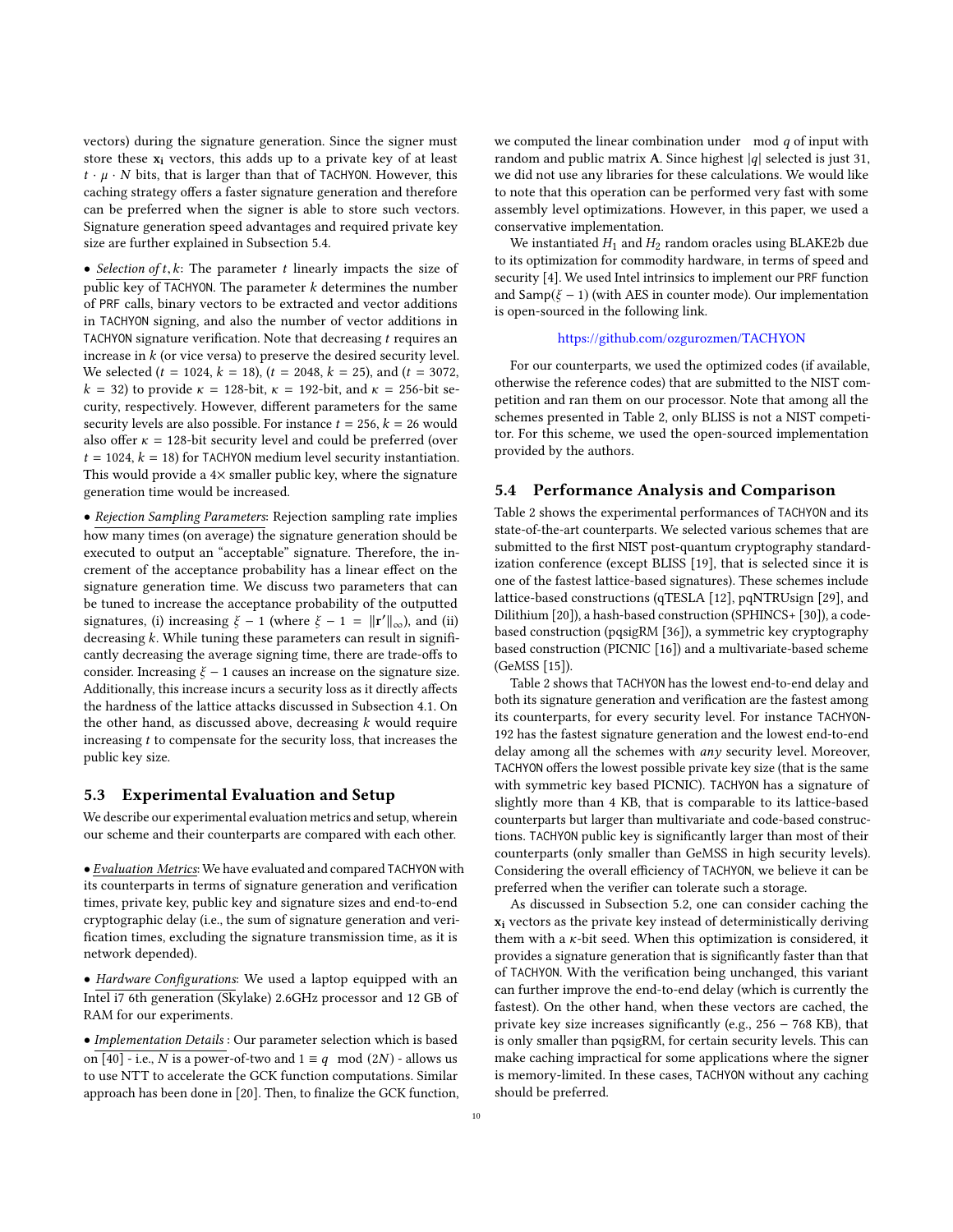vectors) during the signature generation. Since the signer must store these  $x_i$  vectors, this adds up to a private key of at least  $t \cdot \mu \cdot N$  bits, that is larger than that of TACHYON. However, this caching strategy offers a faster signature generation and therefore can be preferred when the signer is able to store such vectors. Signature generation speed advantages and required private key size are further explained in [Subsection 5.4.](#page-9-0)

• Selection of  $t, k$ : The parameter  $t$  linearly impacts the size of public key of TACHYON. The parameter  $k$  determines the number of PRF calls, binary vectors to be extracted and vector additions in TACHYON signing, and also the number of vector additions in TACHYON signature verification. Note that decreasing  $t$  requires an increase in  $k$  (or vice versa) to preserve the desired security level. We selected ( $t = 1024$ ,  $k = 18$ ), ( $t = 2048$ ,  $k = 25$ ), and ( $t = 3072$ ,  $k = 32$ ) to provide  $\kappa = 128$ -bit,  $\kappa = 192$ -bit, and  $\kappa = 256$ -bit security, respectively. However, different parameters for the same security levels are also possible. For instance  $t = 256$ ,  $k = 26$  would also offer  $\kappa = 128$ -bit security level and could be preferred (over  $t = 1024$ ,  $k = 18$ ) for TACHYON medium level security instantiation. This would provide a  $4\times$  smaller public key, where the signature generation time would be increased.

• Rejection Sampling Parameters: Rejection sampling rate implies how many times (on average) the signature generation should be executed to output an "acceptable" signature. Therefore, the increment of the acceptance probability has a linear effect on the signature generation time. We discuss two parameters that can be tuned to increase the acceptance probability of the outputted signatures, (i) increasing  $\xi - 1$  (where  $\xi - 1 = ||\mathbf{r}'||_{\infty}$ ), and (ii) decreasing k. While tuning these parameters can result in significantly decreasing the average signing time, there are trade-offs to consider. Increasing  $\xi$  – 1 causes an increase on the signature size. Additionally, this increase incurs a security loss as it directly affects the hardness of the lattice attacks discussed in [Subsection 4.1.](#page-7-0) On the other hand, as discussed above, decreasing  $k$  would require increasing  $t$  to compensate for the security loss, that increases the public key size.

## 5.3 Experimental Evaluation and Setup

We describe our experimental evaluation metrics and setup, wherein our scheme and their counterparts are compared with each other.

• Evaluation Metrics: We have evaluated and compared TACHYON with its counterparts in terms of signature generation and verification times, private key, public key and signature sizes and end-to-end cryptographic delay (i.e., the sum of signature generation and verification times, excluding the signature transmission time, as it is network depended).

• Hardware Configurations: We used a laptop equipped with an Intel i7 6th generation (Skylake) 2.6GHz processor and 12 GB of RAM for our experiments.

• Implementation Details : Our parameter selection which is based on [\[40\]](#page-12-12) - i.e., N is a power-of-two and  $1 \equiv q \mod (2N)$  - allows us to use NTT to accelerate the GCK function computations. Similar approach has been done in [\[20\]](#page-11-4). Then, to finalize the GCK function, we computed the linear combination under  $\mod q$  of input with random and public matrix A. Since highest  $|q|$  selected is just 31, we did not use any libraries for these calculations. We would like to note that this operation can be performed very fast with some assembly level optimizations. However, in this paper, we used a conservative implementation.

We instantiated  $H_1$  and  $H_2$  random oracles using BLAKE2b due to its optimization for commodity hardware, in terms of speed and security [\[4\]](#page-11-34). We used Intel intrinsics to implement our PRF function and Samp( $\xi$  – 1) (with AES in counter mode). Our implementation is open-sourced in the following link.

#### <https://github.com/ozgurozmen/TACHYON>

For our counterparts, we used the optimized codes (if available, otherwise the reference codes) that are submitted to the NIST competition and ran them on our processor. Note that among all the schemes presented in [Table 2,](#page-10-0) only BLISS is not a NIST competitor. For this scheme, we used the open-sourced implementation provided by the authors.

### <span id="page-9-0"></span>5.4 Performance Analysis and Comparison

[Table 2](#page-10-0) shows the experimental performances of TACHYON and its state-of-the-art counterparts. We selected various schemes that are submitted to the first NIST post-quantum cryptography standardization conference (except BLISS [\[19\]](#page-11-3), that is selected since it is one of the fastest lattice-based signatures). These schemes include lattice-based constructions (qTESLA [\[12\]](#page-11-10), pqNTRUsign [\[29\]](#page-11-11), and Dilithium [\[20\]](#page-11-4)), a hash-based construction (SPHINCS+ [\[30\]](#page-11-19)), a codebased construction (pqsigRM [\[36\]](#page-11-16)), a symmetric key cryptography based construction (PICNIC [\[16\]](#page-11-20)) and a multivariate-based scheme (GeMSS [\[15\]](#page-11-18)).

[Table 2](#page-10-0) shows that TACHYON has the lowest end-to-end delay and both its signature generation and verification are the fastest among its counterparts, for every security level. For instance TACHYON-192 has the fastest signature generation and the lowest end-to-end delay among all the schemes with  $any$  security level. Moreover, TACHYON offers the lowest possible private key size (that is the same with symmetric key based PICNIC). TACHYON has a signature of slightly more than 4 KB, that is comparable to its lattice-based counterparts but larger than multivariate and code-based constructions. TACHYON public key is significantly larger than most of their counterparts (only smaller than GeMSS in high security levels). Considering the overall efficiency of TACHYON, we believe it can be preferred when the verifier can tolerate such a storage.

As discussed in [Subsection 5.2,](#page-8-1) one can consider caching the x<sup>i</sup> vectors as the private key instead of deterministically deriving them with a  $\kappa$ -bit seed. When this optimization is considered, it provides a signature generation that is significantly faster than that of TACHYON. With the verification being unchanged, this variant can further improve the end-to-end delay (which is currently the fastest). On the other hand, when these vectors are cached, the private key size increases significantly (e.g., 256 − 768 KB), that is only smaller than pqsigRM, for certain security levels. This can make caching impractical for some applications where the signer is memory-limited. In these cases, TACHYON without any caching should be preferred.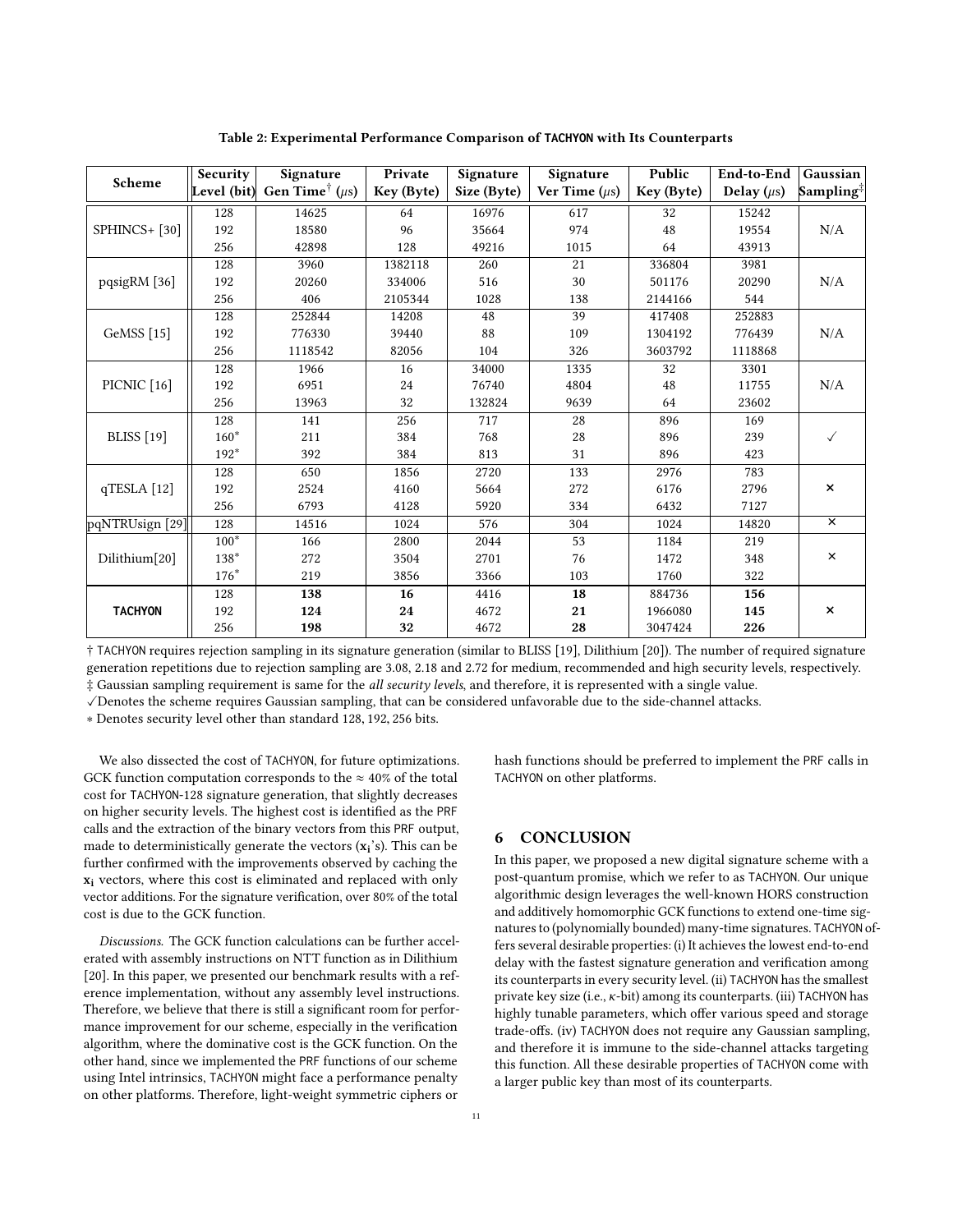<span id="page-10-0"></span>

| Scheme                     | Security    | Signature                        | Private    | Signature   | Signature          | Public     | End-to-End      | Gaussian                |
|----------------------------|-------------|----------------------------------|------------|-------------|--------------------|------------|-----------------|-------------------------|
|                            | Level (bit) | Gen Time <sup>†</sup> ( $\mu$ s) | Key (Byte) | Size (Byte) | Ver Time $(\mu s)$ | Key (Byte) | Delay $(\mu s)$ | Sampling <sup>‡</sup>   |
| SPHINCS+[30]               | 128         | 14625                            | 64         | 16976       | 617                | 32         | 15242           |                         |
|                            | 192         | 18580                            | 96         | 35664       | 974                | 48         | 19554           | N/A                     |
|                            | 256         | 42898                            | 128        | 49216       | 1015               | 64         | 43913           |                         |
| pqsigRM [36]               | 128         | 3960                             | 1382118    | 260         | 21                 | 336804     | 3981            |                         |
|                            | 192         | 20260                            | 334006     | 516         | 30                 | 501176     | 20290           | N/A                     |
|                            | 256         | 406                              | 2105344    | 1028        | 138                | 2144166    | 544             |                         |
| GeMSS [15]                 | 128         | 252844                           | 14208      | 48          | 39                 | 417408     | 252883          |                         |
|                            | 192         | 776330                           | 39440      | 88          | 109                | 1304192    | 776439          | N/A                     |
|                            | 256         | 1118542                          | 82056      | 104         | 326                | 3603792    | 1118868         |                         |
| PICNIC [16]                | 128         | 1966                             | 16         | 34000       | 1335               | 32         | 3301            |                         |
|                            | 192         | 6951                             | 24         | 76740       | 4804               | 48         | 11755           | N/A                     |
|                            | 256         | 13963                            | 32         | 132824      | 9639               | 64         | 23602           |                         |
| <b>BLISS</b> [19]          | 128         | 141                              | 256        | 717         | 28                 | 896        | 169             |                         |
|                            | $160*$      | 211                              | 384        | 768         | 28                 | 896        | 239             | ✓                       |
|                            | $192*$      | 392                              | 384        | 813         | 31                 | 896        | 423             |                         |
| $q$ TESLA [12]             | 128         | 650                              | 1856       | 2720        | 133                | 2976       | 783             |                         |
|                            | 192         | 2524                             | 4160       | 5664        | 272                | 6176       | 2796            | $\pmb{\times}$          |
|                            | 256         | 6793                             | 4128       | 5920        | 334                | 6432       | 7127            |                         |
| pqNTRUsign <sup>[29]</sup> | 128         | 14516                            | 1024       | 576         | 304                | 1024       | 14820           | $\overline{\mathsf{x}}$ |
| Dilithium[20]              | $100*$      | 166                              | 2800       | 2044        | 53                 | 1184       | 219             |                         |
|                            | $138*$      | 272                              | 3504       | 2701        | 76                 | 1472       | 348             | $\pmb{\times}$          |
|                            | $176*$      | 219                              | 3856       | 3366        | 103                | 1760       | 322             |                         |
| <b>TACHYON</b>             | 128         | 138                              | 16         | 4416        | 18                 | 884736     | 156             |                         |
|                            | 192         | 124                              | 24         | 4672        | 21                 | 1966080    | 145             | $\pmb{\times}$          |
|                            | 256         | 198                              | 32         | 4672        | 28                 | 3047424    | 226             |                         |

Table 2: Experimental Performance Comparison of **TACHYON** with Its Counterparts

† TACHYON requires rejection sampling in its signature generation (similar to BLISS [\[19\]](#page-11-3), Dilithium [\[20\]](#page-11-4)). The number of required signature generation repetitions due to rejection sampling are 3.08, 2.18 and 2.72 for medium, recommended and high security levels, respectively. ‡ Gaussian sampling requirement is same for the all security levels, and therefore, it is represented with a single value.

✓Denotes the scheme requires Gaussian sampling, that can be considered unfavorable due to the side-channel attacks.

<sup>∗</sup> Denotes security level other than standard <sup>128</sup>, <sup>192</sup>, <sup>256</sup> bits.

We also dissected the cost of TACHYON, for future optimizations. GCK function computation corresponds to the  $\approx 40\%$  of the total cost for TACHYON-128 signature generation, that slightly decreases on higher security levels. The highest cost is identified as the PRF calls and the extraction of the binary vectors from this PRF output, made to deterministically generate the vectors (x<sub>i</sub>'s). This can be further confirmed with the improvements observed by caching the x<sup>i</sup> vectors, where this cost is eliminated and replaced with only vector additions. For the signature verification, over 80% of the total cost is due to the GCK function.

Discussions. The GCK function calculations can be further accelerated with assembly instructions on NTT function as in Dilithium [\[20\]](#page-11-4). In this paper, we presented our benchmark results with a reference implementation, without any assembly level instructions. Therefore, we believe that there is still a significant room for performance improvement for our scheme, especially in the verification algorithm, where the dominative cost is the GCK function. On the other hand, since we implemented the PRF functions of our scheme using Intel intrinsics, TACHYON might face a performance penalty on other platforms. Therefore, light-weight symmetric ciphers or

hash functions should be preferred to implement the PRF calls in TACHYON on other platforms.

# 6 CONCLUSION

In this paper, we proposed a new digital signature scheme with a post-quantum promise, which we refer to as TACHYON. Our unique algorithmic design leverages the well-known HORS construction and additively homomorphic GCK functions to extend one-time signatures to (polynomially bounded) many-time signatures. TACHYON offers several desirable properties: (i) It achieves the lowest end-to-end delay with the fastest signature generation and verification among its counterparts in every security level. (ii) TACHYON has the smallest private key size (i.e., κ-bit) among its counterparts. (iii) TACHYON has highly tunable parameters, which offer various speed and storage trade-offs. (iv) TACHYON does not require any Gaussian sampling, and therefore it is immune to the side-channel attacks targeting this function. All these desirable properties of TACHYON come with a larger public key than most of its counterparts.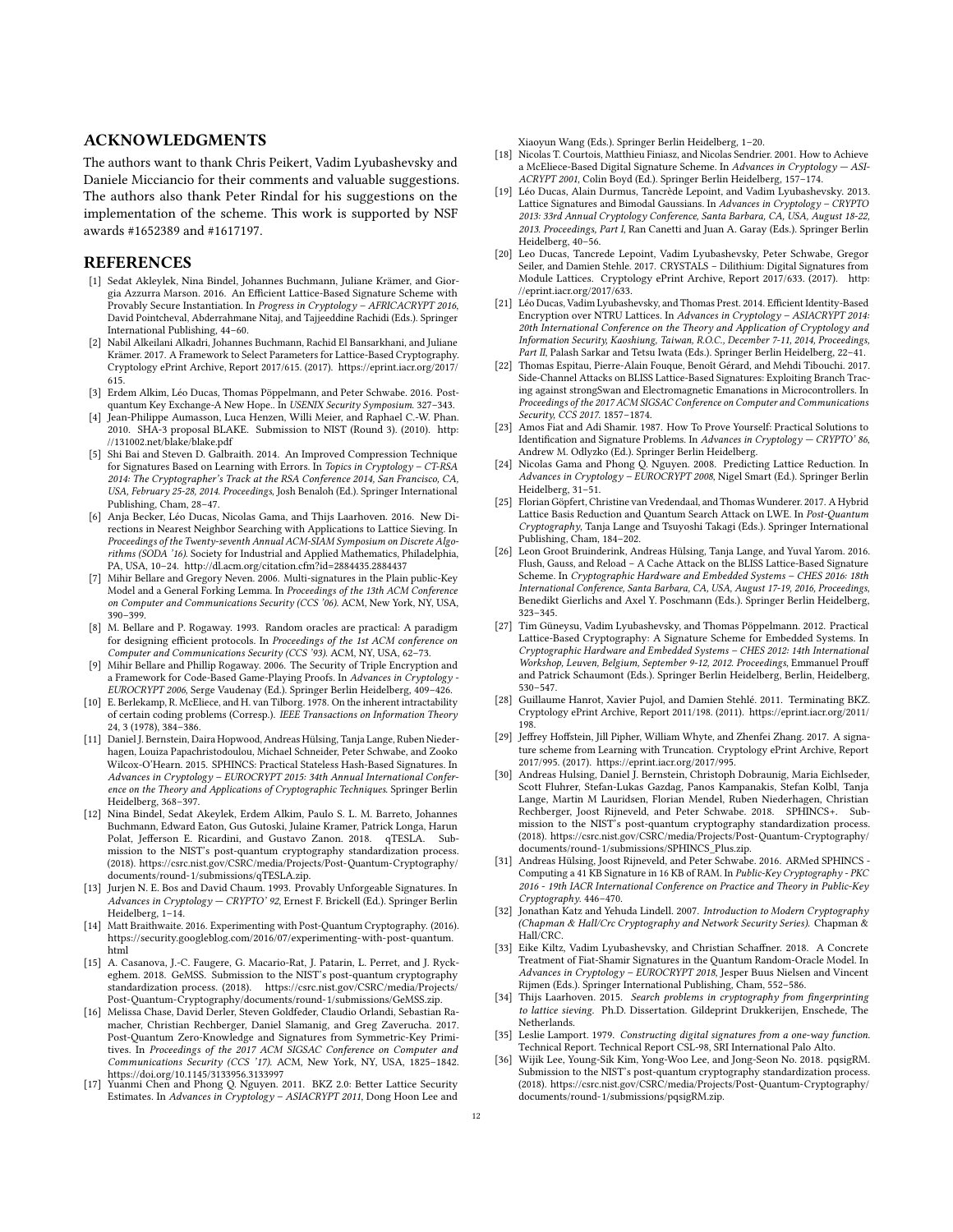#### ACKNOWLEDGMENTS

The authors want to thank Chris Peikert, Vadim Lyubashevsky and Daniele Micciancio for their comments and valuable suggestions. The authors also thank Peter Rindal for his suggestions on the implementation of the scheme. This work is supported by NSF awards #1652389 and #1617197.

## REFERENCES

- <span id="page-11-2"></span>[1] Sedat Akleylek, Nina Bindel, Johannes Buchmann, Juliane Krämer, and Giorgia Azzurra Marson. 2016. An Efficient Lattice-Based Signature Scheme with Provably Secure Instantiation. In Progress in Cryptology – AFRICACRYPT 2016, David Pointcheval, Abderrahmane Nitaj, and Tajjeeddine Rachidi (Eds.). Springer International Publishing, 44–60.
- <span id="page-11-28"></span>[2] Nabil Alkeilani Alkadri, Johannes Buchmann, Rachid El Bansarkhani, and Juliane Krämer. 2017. A Framework to Select Parameters for Lattice-Based Cryptography. Cryptology ePrint Archive, Report 2017/615. (2017). [https://eprint.iacr.org/2017/](https://eprint.iacr.org/2017/615) [615.](https://eprint.iacr.org/2017/615)
- <span id="page-11-32"></span>[3] Erdem Alkim, Léo Ducas, Thomas Pöppelmann, and Peter Schwabe. 2016. Postquantum Key Exchange-A New Hope.. In USENIX Security Symposium. 327–343.
- <span id="page-11-34"></span>[4] Jean-Philippe Aumasson, Luca Henzen, Willi Meier, and Raphael C.-W. Phan. 2010. SHA-3 proposal BLAKE. Submission to NIST (Round 3). (2010). [http:](http://131002.net/blake/blake.pdf) [//131002.net/blake/blake.pdf](http://131002.net/blake/blake.pdf)
- <span id="page-11-8"></span>[5] Shi Bai and Steven D. Galbraith. 2014. An Improved Compression Technique for Signatures Based on Learning with Errors. In Topics in Cryptology – CT-RSA 2014: The Cryptographer's Track at the RSA Conference 2014, San Francisco, CA, USA, February 25-28, 2014. Proceedings, Josh Benaloh (Ed.). Springer International Publishing, Cham, 28–47.
- <span id="page-11-30"></span>[6] Anja Becker, Léo Ducas, Nicolas Gama, and Thijs Laarhoven. 2016. New Directions in Nearest Neighbor Searching with Applications to Lattice Sieving. In Proceedings of the Twenty-seventh Annual ACM-SIAM Symposium on Discrete Algorithms (SODA '16). Society for Industrial and Applied Mathematics, Philadelphia, PA, USA, 10–24.<http://dl.acm.org/citation.cfm?id=2884435.2884437>
- <span id="page-11-24"></span>[7] Mihir Bellare and Gregory Neven. 2006. Multi-signatures in the Plain public-Key Model and a General Forking Lemma. In Proceedings of the 13th ACM Conference on Computer and Communications Security (CCS '06). ACM, New York, NY, USA, 390–399.
- <span id="page-11-23"></span>[8] M. Bellare and P. Rogaway. 1993. Random oracles are practical: A paradigm for designing efficient protocols. In Proceedings of the 1st ACM conference on Computer and Communications Security (CCS '93). ACM, NY, USA, 62–73.
- <span id="page-11-21"></span>[9] Mihir Bellare and Phillip Rogaway. 2006. The Security of Triple Encryption and a Framework for Code-Based Game-Playing Proofs. In Advances in Cryptology - EUROCRYPT 2006, Serge Vaudenay (Ed.). Springer Berlin Heidelberg, 409–426.
- <span id="page-11-15"></span>[10] E. Berlekamp, R. McEliece, and H. van Tilborg. 1978. On the inherent intractability of certain coding problems (Corresp.). IEEE Transactions on Information Theory 24, 3 (1978), 384–386.
- <span id="page-11-13"></span>[11] Daniel J. Bernstein, Daira Hopwood, Andreas Hülsing, Tanja Lange, Ruben Niederhagen, Louiza Papachristodoulou, Michael Schneider, Peter Schwabe, and Zooko Wilcox-O'Hearn. 2015. SPHINCS: Practical Stateless Hash-Based Signatures. In Advances in Cryptology – EUROCRYPT 2015: 34th Annual International Conference on the Theory and Applications of Cryptographic Techniques. Springer Berlin Heidelberg, 368–397.
- <span id="page-11-10"></span>[12] Nina Bindel, Sedat Akeylek, Erdem Alkim, Paulo S. L. M. Barreto, Johannes Buchmann, Edward Eaton, Gus Gutoski, Julaine Kramer, Patrick Longa, Harun Polat, Jefferson E. Ricardini, and Gustavo Zanon. 2018. qTESLA. Submission to the NIST's post-quantum cryptography standardization process. (2018). [https://csrc.nist.gov/CSRC/media/Projects/Post-Quantum-Cryptography/](https://csrc.nist.gov/CSRC/media/Projects/Post-Quantum-Cryptography/documents/round-1/submissions/qTESLA.zip) [documents/round-1/submissions/qTESLA.zip.](https://csrc.nist.gov/CSRC/media/Projects/Post-Quantum-Cryptography/documents/round-1/submissions/qTESLA.zip)
- <span id="page-11-1"></span>[13] Jurjen N. E. Bos and David Chaum. 1993. Provably Unforgeable Signatures. In Advances in Cryptology — CRYPTO' 92, Ernest F. Brickell (Ed.). Springer Berlin Heidelberg, 1–14.
- <span id="page-11-12"></span>[14] Matt Braithwaite. 2016. Experimenting with Post-Quantum Cryptography. (2016). [https://security.googleblog.com/2016/07/experimenting-with-post-quantum.](https://security.googleblog.com/2016/07/experimenting-with-post-quantum.html) [html](https://security.googleblog.com/2016/07/experimenting-with-post-quantum.html)
- <span id="page-11-18"></span>[15] A. Casanova, J.-C. Faugere, G. Macario-Rat, J. Patarin, L. Perret, and J. Ryckeghem. 2018. GeMSS. Submission to the NIST's post-quantum cryptography standardization process. (2018). [https://csrc.nist.gov/CSRC/media/Projects/](https://csrc.nist.gov/CSRC/media/Projects/Post-Quantum-Cryptography/documents/round-1/submissions/GeMSS.zip) [Post-Quantum-Cryptography/documents/round-1/submissions/GeMSS.zip.](https://csrc.nist.gov/CSRC/media/Projects/Post-Quantum-Cryptography/documents/round-1/submissions/GeMSS.zip)
- <span id="page-11-20"></span>[16] Melissa Chase, David Derler, Steven Goldfeder, Claudio Orlandi, Sebastian Ramacher, Christian Rechberger, Daniel Slamanig, and Greg Zaverucha. 2017. Post-Quantum Zero-Knowledge and Signatures from Symmetric-Key Primitives. In Proceedings of the 2017 ACM SIGSAC Conference on Computer and Communications Security (CCS '17). ACM, New York, NY, USA, 1825–1842. <https://doi.org/10.1145/3133956.3133997> [17] Yuanmi Chen and Phong Q. Nguyen. 2011. BKZ 2.0: Better Lattice Security
- <span id="page-11-27"></span>Estimates. In Advances in Cryptology – ASIACRYPT 2011, Dong Hoon Lee and

Xiaoyun Wang (Eds.). Springer Berlin Heidelberg, 1–20.

- <span id="page-11-17"></span>[18] Nicolas T. Courtois, Matthieu Finiasz, and Nicolas Sendrier. 2001. How to Achieve a McEliece-Based Digital Signature Scheme. In Advances in Cryptology — ASI-ACRYPT 2001, Colin Boyd (Ed.). Springer Berlin Heidelberg, 157–174.
- <span id="page-11-3"></span>[19] Léo Ducas, Alain Durmus, Tancrède Lepoint, and Vadim Lyubashevsky. 2013. Lattice Signatures and Bimodal Gaussians. In Advances in Cryptology – CRYPTO 2013: 33rd Annual Cryptology Conference, Santa Barbara, CA, USA, August 18-22, 2013. Proceedings, Part I, Ran Canetti and Juan A. Garay (Eds.). Springer Berlin Heidelberg, 40–56.
- <span id="page-11-4"></span>[20] Leo Ducas, Tancrede Lepoint, Vadim Lyubashevsky, Peter Schwabe, Gregor Seiler, and Damien Stehle. 2017. CRYSTALS – Dilithium: Digital Signatures from Module Lattices. Cryptology ePrint Archive, Report 2017/633. (2017). [http:](http://eprint.iacr.org/2017/633) [//eprint.iacr.org/2017/633.](http://eprint.iacr.org/2017/633)
- [21] Léo Ducas, Vadim Lyubashevsky, and Thomas Prest. 2014. Efficient Identity-Based Encryption over NTRU Lattices. In Advances in Cryptology – ASIACRYPT 2014: 20th International Conference on the Theory and Application of Cryptology and Information Security, Kaoshiung, Taiwan, R.O.C., December 7-11, 2014, Proceedings, Part II, Palash Sarkar and Tetsu Iwata (Eds.). Springer Berlin Heidelberg, 22-41.
- <span id="page-11-6"></span>[22] Thomas Espitau, Pierre-Alain Fouque, Benoît Gérard, and Mehdi Tibouchi. 2017. Side-Channel Attacks on BLISS Lattice-Based Signatures: Exploiting Branch Tracing against strongSwan and Electromagnetic Emanations in Microcontrollers. In Proceedings of the 2017 ACM SIGSAC Conference on Computer and Communications Security, CCS 2017. 1857–1874.
- <span id="page-11-5"></span>[23] Amos Fiat and Adi Shamir. 1987. How To Prove Yourself: Practical Solutions to Identification and Signature Problems. In Advances in Cryptology - CRYPTO' 86, Andrew M. Odlyzko (Ed.). Springer Berlin Heidelberg.
- <span id="page-11-25"></span>[24] Nicolas Gama and Phong Q. Nguyen. 2008. Predicting Lattice Reduction. In Advances in Cryptology – EUROCRYPT 2008, Nigel Smart (Ed.). Springer Berlin Heidelberg, 31–51.
- <span id="page-11-29"></span>[25] Florian Göpfert, Christine van Vredendaal, and Thomas Wunderer. 2017. A Hybrid Lattice Basis Reduction and Quantum Search Attack on LWE. In Post-Quantum Cryptography, Tanja Lange and Tsuyoshi Takagi (Eds.). Springer International Publishing, Cham, 184–202.
- <span id="page-11-7"></span>[26] Leon Groot Bruinderink, Andreas Hülsing, Tanja Lange, and Yuval Yarom. 2016. Flush, Gauss, and Reload – A Cache Attack on the BLISS Lattice-Based Signature Scheme. In Cryptographic Hardware and Embedded Systems – CHES 2016: 18th International Conference, Santa Barbara, CA, USA, August 17-19, 2016, Proceedings, Benedikt Gierlichs and Axel Y. Poschmann (Eds.). Springer Berlin Heidelberg, 323–345.
- <span id="page-11-9"></span>[27] Tim Güneysu, Vadim Lyubashevsky, and Thomas Pöppelmann. 2012. Practical Lattice-Based Cryptography: A Signature Scheme for Embedded Systems. In Cryptographic Hardware and Embedded Systems – CHES 2012: 14th International Workshop, Leuven, Belgium, September 9-12, 2012. Proceedings, Emmanuel Prouff and Patrick Schaumont (Eds.). Springer Berlin Heidelberg, Berlin, Heidelberg, 530–547.
- <span id="page-11-26"></span>[28] Guillaume Hanrot, Xavier Pujol, and Damien Stehlé. 2011. Terminating BKZ. Cryptology ePrint Archive, Report 2011/198. (2011). [https://eprint.iacr.org/2011/](https://eprint.iacr.org/2011/198) [198.](https://eprint.iacr.org/2011/198)
- <span id="page-11-11"></span>[29] Jeffrey Hoffstein, Jill Pipher, William Whyte, and Zhenfei Zhang. 2017. A signature scheme from Learning with Truncation. Cryptology ePrint Archive, Report 2017/995. (2017). [https://eprint.iacr.org/2017/995.](https://eprint.iacr.org/2017/995)
- <span id="page-11-19"></span>[30] Andreas Hulsing, Daniel J. Bernstein, Christoph Dobraunig, Maria Eichlseder, Scott Fluhrer, Stefan-Lukas Gazdag, Panos Kampanakis, Stefan Kolbl, Tanja Lange, Martin M Lauridsen, Florian Mendel, Ruben Niederhagen, Christian Rechberger, Joost Rijneveld, and Peter Schwabe. 2018. SPHINCS+. Submission to the NIST's post-quantum cryptography standardization process. (2018). [https://csrc.nist.gov/CSRC/media/Projects/Post-Quantum-Cryptography/](https://csrc.nist.gov/CSRC/media/Projects/Post-Quantum-Cryptography/documents/round-1/submissions/SPHINCS_Plus.zip) [documents/round-1/submissions/SPHINCS\\_Plus.zip.](https://csrc.nist.gov/CSRC/media/Projects/Post-Quantum-Cryptography/documents/round-1/submissions/SPHINCS_Plus.zip)
- <span id="page-11-14"></span>[31] Andreas Hülsing, Joost Rijneveld, and Peter Schwabe. 2016. ARMed SPHINCS - Computing a 41 KB Signature in 16 KB of RAM. In Public-Key Cryptography - PKC 2016 - 19th IACR International Conference on Practice and Theory in Public-Key Cryptography. 446–470.
- <span id="page-11-22"></span>[32] Jonathan Katz and Yehuda Lindell. 2007. Introduction to Modern Cryptography (Chapman & Hall/Crc Cryptography and Network Security Series). Chapman & Hall/CRC.
- <span id="page-11-33"></span>[33] Eike Kiltz, Vadim Lyubashevsky, and Christian Schaffner. 2018. A Concrete Treatment of Fiat-Shamir Signatures in the Quantum Random-Oracle Model. In Advances in Cryptology – EUROCRYPT 2018, Jesper Buus Nielsen and Vincent Rijmen (Eds.). Springer International Publishing, Cham, 552–586.
- <span id="page-11-31"></span>[34] Thijs Laarhoven. 2015. Search problems in cryptography from fingerprinting to lattice sieving. Ph.D. Dissertation. Gildeprint Drukkerijen, Enschede, The Netherlands.
- <span id="page-11-0"></span>[35] Leslie Lamport. 1979. Constructing digital signatures from a one-way function. Technical Report. Technical Report CSL-98, SRI International Palo Alto.
- <span id="page-11-16"></span>[36] Wijik Lee, Young-Sik Kim, Yong-Woo Lee, and Jong-Seon No. 2018. pqsigRM. Submission to the NIST's post-quantum cryptography standardization process. (2018). [https://csrc.nist.gov/CSRC/media/Projects/Post-Quantum-Cryptography/](https://csrc.nist.gov/CSRC/media/Projects/Post-Quantum-Cryptography/documents/round-1/submissions/pqsigRM.zip) [documents/round-1/submissions/pqsigRM.zip.](https://csrc.nist.gov/CSRC/media/Projects/Post-Quantum-Cryptography/documents/round-1/submissions/pqsigRM.zip)